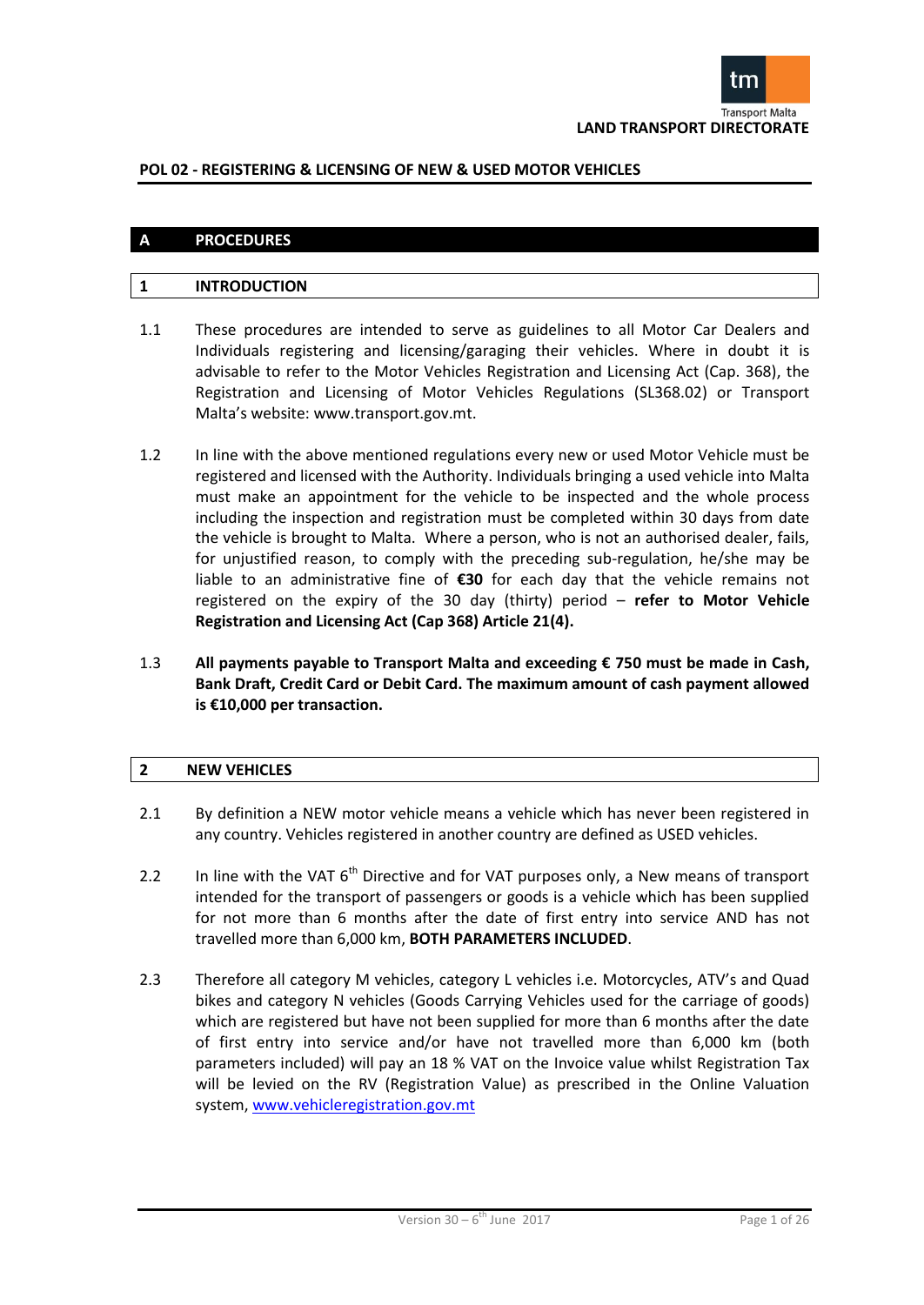

# **A PROCEDURES**

# **1 INTRODUCTION**

- 1.1 These procedures are intended to serve as guidelines to all Motor Car Dealers and Individuals registering and licensing/garaging their vehicles. Where in doubt it is advisable to refer to the Motor Vehicles Registration and Licensing Act (Cap. 368), the Registration and Licensing of Motor Vehicles Regulations (SL368.02) or Transport Malta's website: www.transport.gov.mt.
- 1.2 In line with the above mentioned regulations every new or used Motor Vehicle must be registered and licensed with the Authority. Individuals bringing a used vehicle into Malta must make an appointment for the vehicle to be inspected and the whole process including the inspection and registration must be completed within 30 days from date the vehicle is brought to Malta. Where a person, who is not an authorised dealer, fails, for unjustified reason, to comply with the preceding sub-regulation, he/she may be liable to an administrative fine of **€30** for each day that the vehicle remains not registered on the expiry of the 30 day (thirty) period – **refer to Motor Vehicle Registration and Licensing Act (Cap 368) Article 21(4).**
- 1.3 **All payments payable to Transport Malta and exceeding € 750 must be made in Cash, Bank Draft, Credit Card or Debit Card. The maximum amount of cash payment allowed is €10,000 per transaction.**

#### **2 NEW VEHICLES**

- 2.1 By definition a NEW motor vehicle means a vehicle which has never been registered in any country. Vehicles registered in another country are defined as USED vehicles.
- 2.2 In line with the VAT  $6<sup>th</sup>$  Directive and for VAT purposes only, a New means of transport intended for the transport of passengers or goods is a vehicle which has been supplied for not more than 6 months after the date of first entry into service AND has not travelled more than 6,000 km, **BOTH PARAMETERS INCLUDED**.
- 2.3 Therefore all category M vehicles, category L vehicles i.e. Motorcycles, ATV's and Quad bikes and category N vehicles (Goods Carrying Vehicles used for the carriage of goods) which are registered but have not been supplied for more than 6 months after the date of first entry into service and/or have not travelled more than 6,000 km (both parameters included) will pay an 18 % VAT on the Invoice value whilst Registration Tax will be levied on the RV (Registration Value) as prescribed in the Online Valuation system, www.vehicleregistration.gov.mt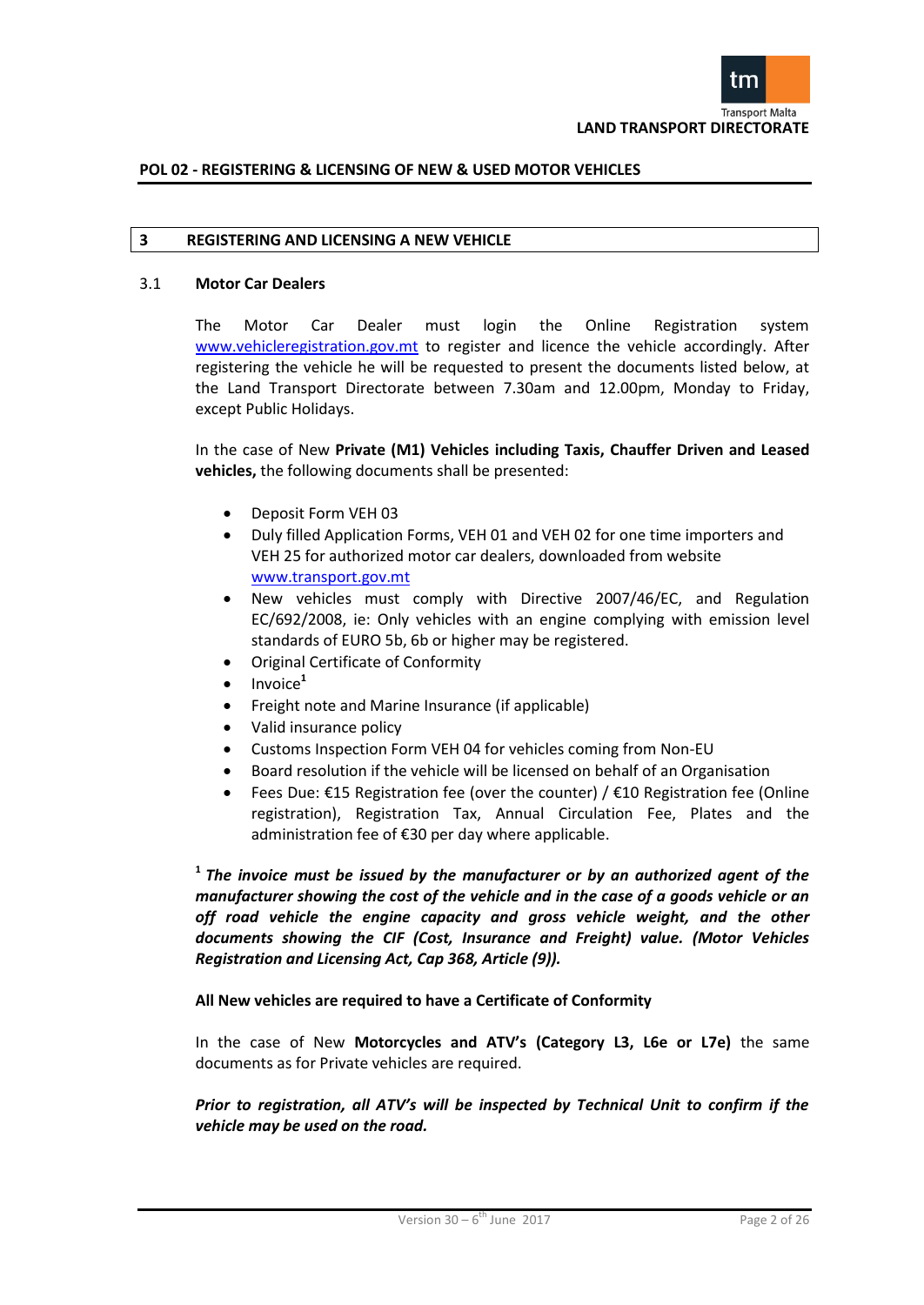

#### **3 REGISTERING AND LICENSING A NEW VEHICLE**

#### 3.1 **Motor Car Dealers**

The Motor Car Dealer must login the Online Registration system www.vehicleregistration.gov.mt to register and licence the vehicle accordingly. After registering the vehicle he will be requested to present the documents listed below, at the Land Transport Directorate between 7.30am and 12.00pm, Monday to Friday, except Public Holidays.

In the case of New **Private (M1) Vehicles including Taxis, Chauffer Driven and Leased vehicles,** the following documents shall be presented:

- Deposit Form VEH 03
- Duly filled Application Forms, VEH 01 and VEH 02 for one time importers and VEH 25 for authorized motor car dealers, downloaded from website www.transport.gov.mt
- New vehicles must comply with Directive 2007/46/EC, and Regulation EC/692/2008, ie: Only vehicles with an engine complying with emission level standards of EURO 5b, 6b or higher may be registered.
- Original Certificate of Conformity
- Invoice**<sup>1</sup>**
- Freight note and Marine Insurance (if applicable)
- Valid insurance policy
- Customs Inspection Form VEH 04 for vehicles coming from Non-EU
- Board resolution if the vehicle will be licensed on behalf of an Organisation
- Fees Due: €15 Registration fee (over the counter) / €10 Registration fee (Online registration), Registration Tax, Annual Circulation Fee, Plates and the administration fee of €30 per day where applicable.

**1** *The invoice must be issued by the manufacturer or by an authorized agent of the manufacturer showing the cost of the vehicle and in the case of a goods vehicle or an off road vehicle the engine capacity and gross vehicle weight, and the other documents showing the CIF (Cost, Insurance and Freight) value. (Motor Vehicles Registration and Licensing Act, Cap 368, Article (9)).*

**All New vehicles are required to have a Certificate of Conformity**

In the case of New **Motorcycles and ATV's (Category L3, L6e or L7e)** the same documents as for Private vehicles are required.

*Prior to registration, all ATV's will be inspected by Technical Unit to confirm if the vehicle may be used on the road.*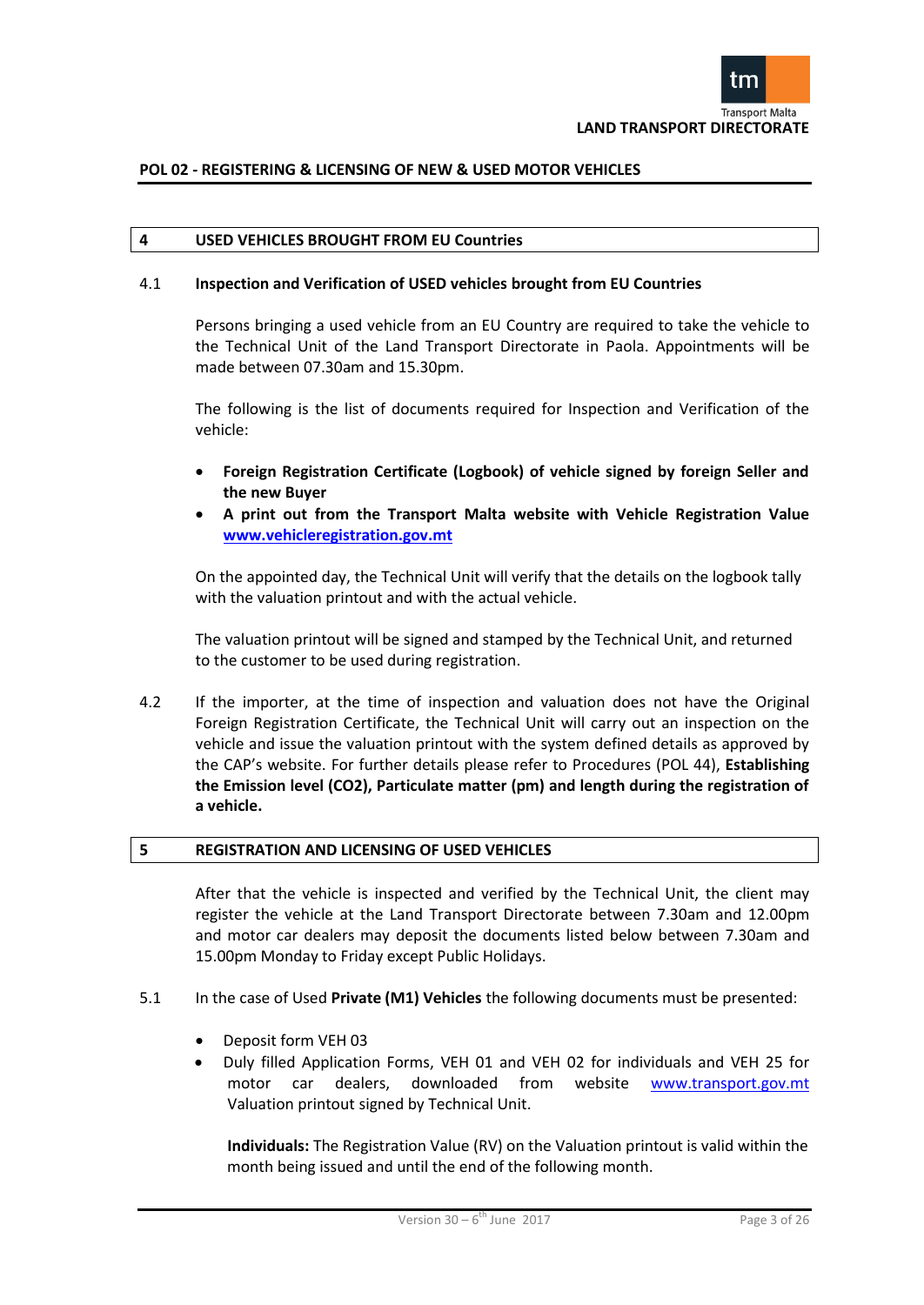

#### **4 USED VEHICLES BROUGHT FROM EU Countries**

#### 4.1 **Inspection and Verification of USED vehicles brought from EU Countries**

Persons bringing a used vehicle from an EU Country are required to take the vehicle to the Technical Unit of the Land Transport Directorate in Paola. Appointments will be made between 07.30am and 15.30pm.

The following is the list of documents required for Inspection and Verification of the vehicle:

- **Foreign Registration Certificate (Logbook) of vehicle signed by foreign Seller and the new Buyer**
- **A print out from the Transport Malta website with Vehicle Registration Value [www.vehicleregistration.gov.mt](http://www.vehicleregistration.gov.mt/)**

On the appointed day, the Technical Unit will verify that the details on the logbook tally with the valuation printout and with the actual vehicle.

The valuation printout will be signed and stamped by the Technical Unit, and returned to the customer to be used during registration.

4.2 If the importer, at the time of inspection and valuation does not have the Original Foreign Registration Certificate, the Technical Unit will carry out an inspection on the vehicle and issue the valuation printout with the system defined details as approved by the CAP's website. For further details please refer to Procedures (POL 44), **Establishing the Emission level (CO2), Particulate matter (pm) and length during the registration of a vehicle.**

#### **5 REGISTRATION AND LICENSING OF USED VEHICLES**

After that the vehicle is inspected and verified by the Technical Unit, the client may register the vehicle at the Land Transport Directorate between 7.30am and 12.00pm and motor car dealers may deposit the documents listed below between 7.30am and 15.00pm Monday to Friday except Public Holidays.

- 5.1 In the case of Used **Private (M1) Vehicles** the following documents must be presented:
	- Deposit form VEH 03
	- Duly filled Application Forms, VEH 01 and VEH 02 for individuals and VEH 25 for motor car dealers, downloaded from website [www.transport.gov.mt](http://www.transport.gov.mt/) Valuation printout signed by Technical Unit.

**Individuals:** The Registration Value (RV) on the Valuation printout is valid within the month being issued and until the end of the following month.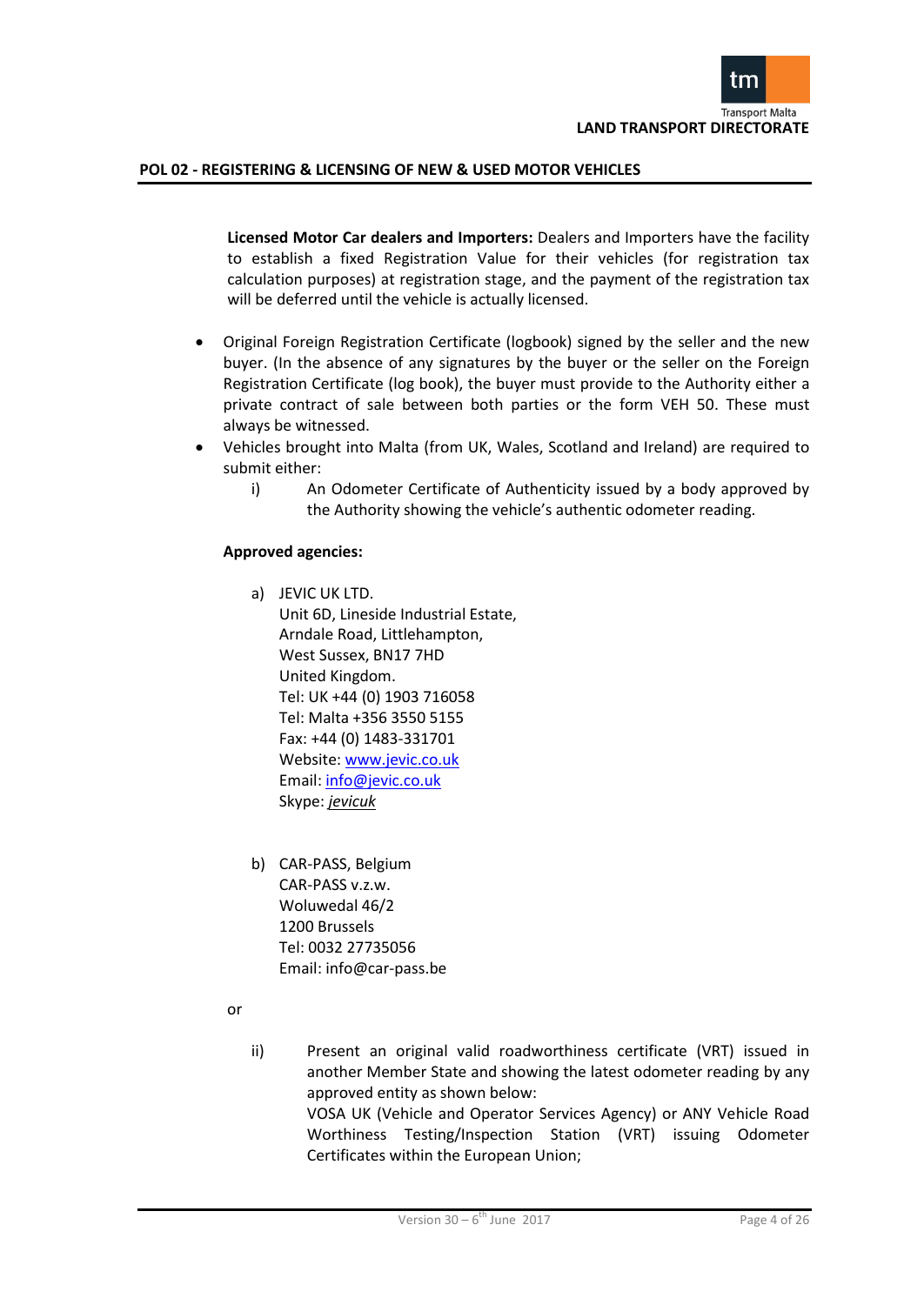

**Licensed Motor Car dealers and Importers:** Dealers and Importers have the facility to establish a fixed Registration Value for their vehicles (for registration tax calculation purposes) at registration stage, and the payment of the registration tax will be deferred until the vehicle is actually licensed.

- Original Foreign Registration Certificate (logbook) signed by the seller and the new buyer. (In the absence of any signatures by the buyer or the seller on the Foreign Registration Certificate (log book), the buyer must provide to the Authority either a private contract of sale between both parties or the form VEH 50. These must always be witnessed.
- Vehicles brought into Malta (from UK, Wales, Scotland and Ireland) are required to submit either:
	- i) An Odometer Certificate of Authenticity issued by a body approved by the Authority showing the vehicle's authentic odometer reading.

#### **Approved agencies:**

- a) JEVIC UK LTD. Unit 6D, Lineside Industrial Estate, Arndale Road, Littlehampton, West Sussex, BN17 7HD United Kingdom. Tel: UK +44 (0) 1903 716058 Tel: Malta +356 3550 5155 Fax: +44 (0) 1483-331701 Website[: www.jevic.co.uk](http://www.jevic.co.uk/) Email: [info@jevic.co.uk](mailto:info@jevic.co.uk) Skype: *jevicuk*
- b) CAR-PASS, Belgium CAR-PASS v.z.w. Woluwedal 46/2 1200 Brussels Tel: 0032 27735056 Email: info@car-pass.be
- or
- ii) Present an original valid roadworthiness certificate (VRT) issued in another Member State and showing the latest odometer reading by any approved entity as shown below:

VOSA UK (Vehicle and Operator Services Agency) or ANY Vehicle Road Worthiness Testing/Inspection Station (VRT) issuing Odometer Certificates within the European Union;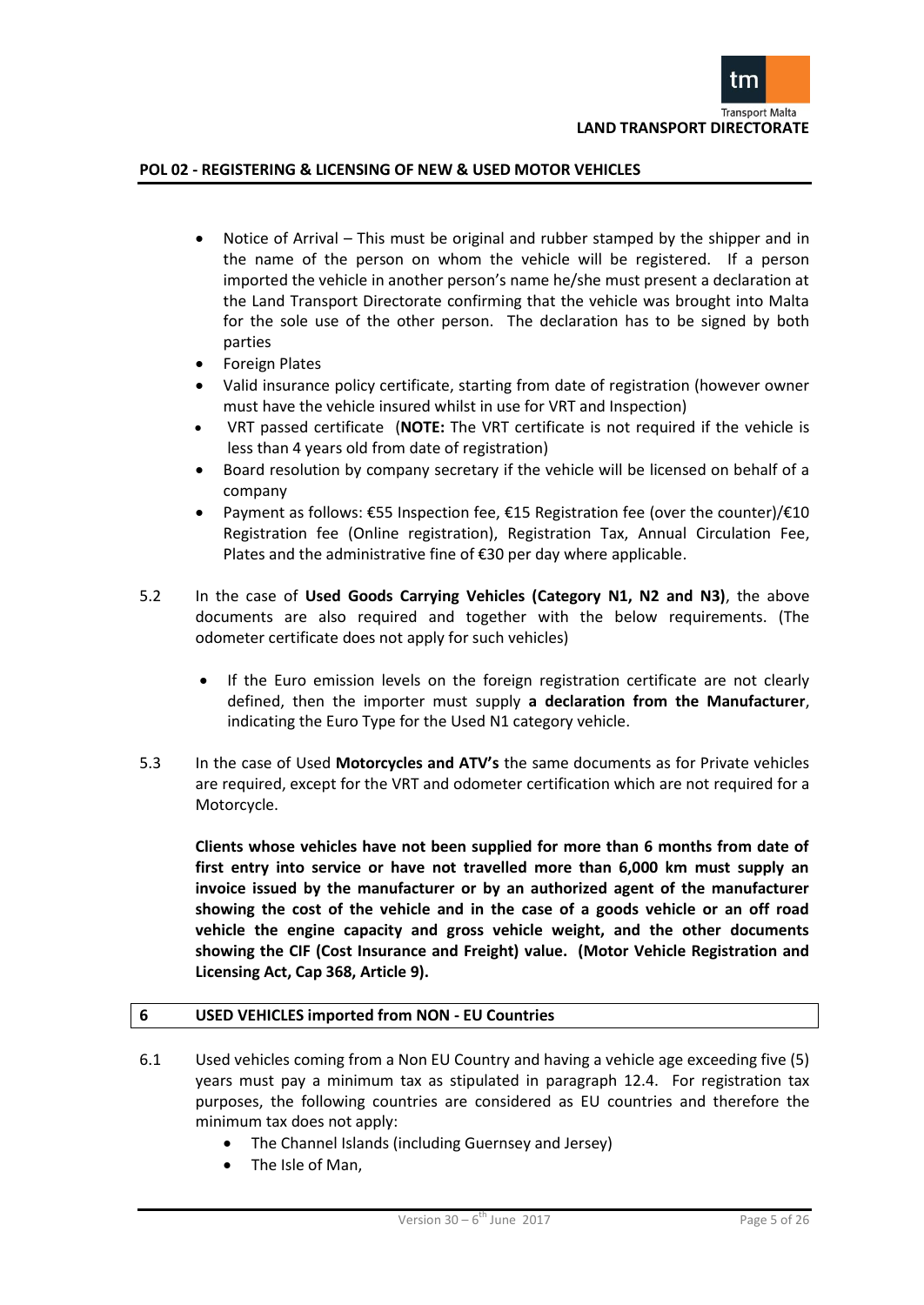

- Notice of Arrival This must be original and rubber stamped by the shipper and in the name of the person on whom the vehicle will be registered. If a person imported the vehicle in another person's name he/she must present a declaration at the Land Transport Directorate confirming that the vehicle was brought into Malta for the sole use of the other person. The declaration has to be signed by both parties
- Foreign Plates
- Valid insurance policy certificate, starting from date of registration (however owner must have the vehicle insured whilst in use for VRT and Inspection)
- VRT passed certificate (**NOTE:** The VRT certificate is not required if the vehicle is less than 4 years old from date of registration)
- Board resolution by company secretary if the vehicle will be licensed on behalf of a company
- Payment as follows: €55 Inspection fee, €15 Registration fee (over the counter)/€10 Registration fee (Online registration), Registration Tax, Annual Circulation Fee, Plates and the administrative fine of €30 per day where applicable.
- 5.2 In the case of **Used Goods Carrying Vehicles (Category N1, N2 and N3)**, the above documents are also required and together with the below requirements. (The odometer certificate does not apply for such vehicles)
	- If the Euro emission levels on the foreign registration certificate are not clearly defined, then the importer must supply **a declaration from the Manufacturer**, indicating the Euro Type for the Used N1 category vehicle.
- 5.3 In the case of Used **Motorcycles and ATV's** the same documents as for Private vehicles are required, except for the VRT and odometer certification which are not required for a Motorcycle.

**Clients whose vehicles have not been supplied for more than 6 months from date of first entry into service or have not travelled more than 6,000 km must supply an invoice issued by the manufacturer or by an authorized agent of the manufacturer showing the cost of the vehicle and in the case of a goods vehicle or an off road vehicle the engine capacity and gross vehicle weight, and the other documents showing the CIF (Cost Insurance and Freight) value. (Motor Vehicle Registration and Licensing Act, Cap 368, Article 9).**

# **6 USED VEHICLES imported from NON - EU Countries**

- 6.1 Used vehicles coming from a Non EU Country and having a vehicle age exceeding five (5) years must pay a minimum tax as stipulated in paragraph 12.4. For registration tax purposes, the following countries are considered as EU countries and therefore the minimum tax does not apply:
	- The Channel Islands (including Guernsey and Jersey)
	- The Isle of Man,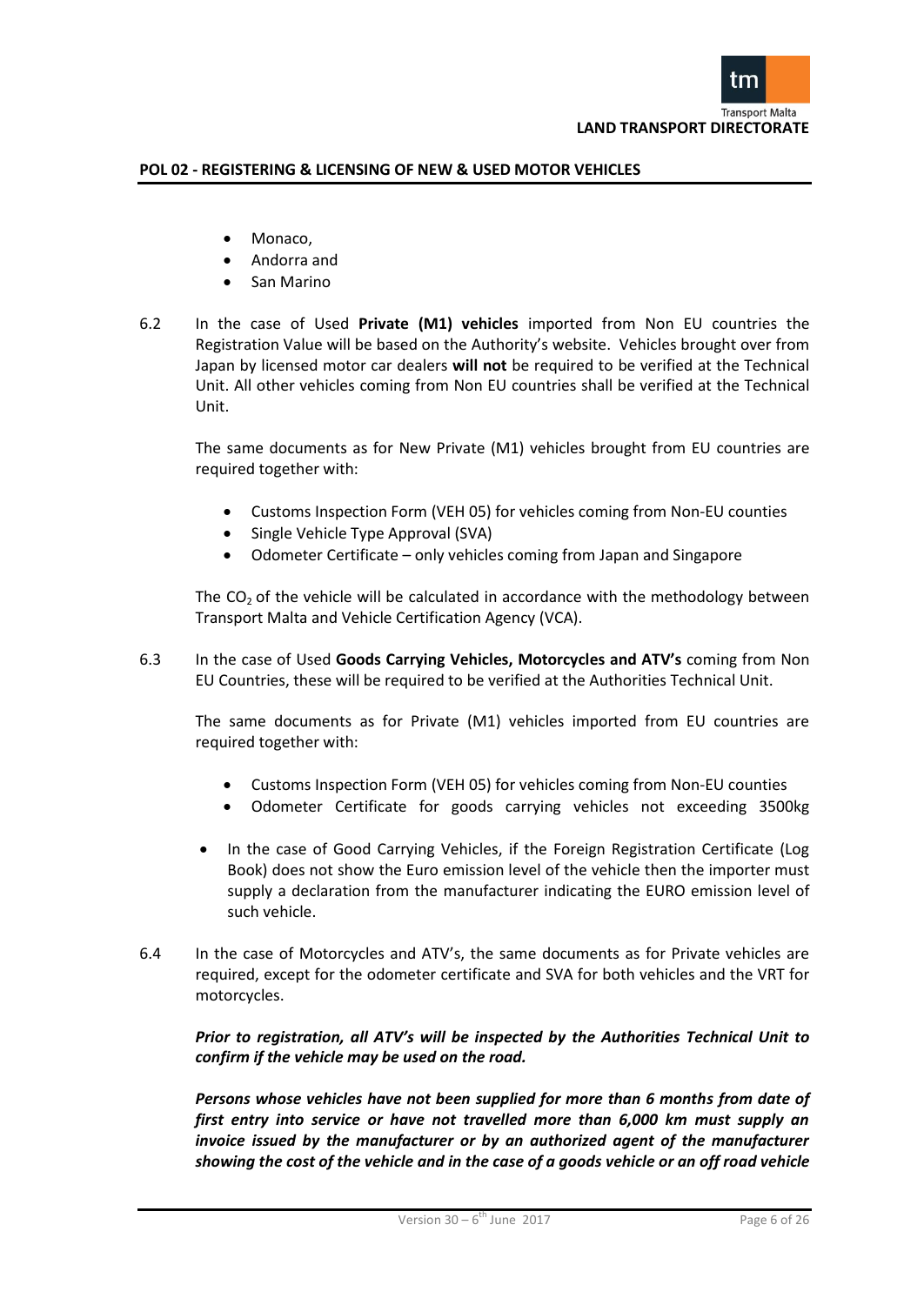

- Monaco,
- Andorra and
- San Marino
- 6.2 In the case of Used **Private (M1) vehicles** imported from Non EU countries the Registration Value will be based on the Authority's website. Vehicles brought over from Japan by licensed motor car dealers **will not** be required to be verified at the Technical Unit. All other vehicles coming from Non EU countries shall be verified at the Technical Unit.

The same documents as for New Private (M1) vehicles brought from EU countries are required together with:

- Customs Inspection Form (VEH 05) for vehicles coming from Non-EU counties
- Single Vehicle Type Approval (SVA)
- Odometer Certificate only vehicles coming from Japan and Singapore

The  $CO<sub>2</sub>$  of the vehicle will be calculated in accordance with the methodology between Transport Malta and Vehicle Certification Agency (VCA).

6.3 In the case of Used **Goods Carrying Vehicles, Motorcycles and ATV's** coming from Non EU Countries, these will be required to be verified at the Authorities Technical Unit.

The same documents as for Private (M1) vehicles imported from EU countries are required together with:

- Customs Inspection Form (VEH 05) for vehicles coming from Non-EU counties
- Odometer Certificate for goods carrying vehicles not exceeding 3500kg
- In the case of Good Carrying Vehicles, if the Foreign Registration Certificate (Log Book) does not show the Euro emission level of the vehicle then the importer must supply a declaration from the manufacturer indicating the EURO emission level of such vehicle.
- 6.4 In the case of Motorcycles and ATV's, the same documents as for Private vehicles are required, except for the odometer certificate and SVA for both vehicles and the VRT for motorcycles.

*Prior to registration, all ATV's will be inspected by the Authorities Technical Unit to confirm if the vehicle may be used on the road.*

*Persons whose vehicles have not been supplied for more than 6 months from date of first entry into service or have not travelled more than 6,000 km must supply an invoice issued by the manufacturer or by an authorized agent of the manufacturer showing the cost of the vehicle and in the case of a goods vehicle or an off road vehicle*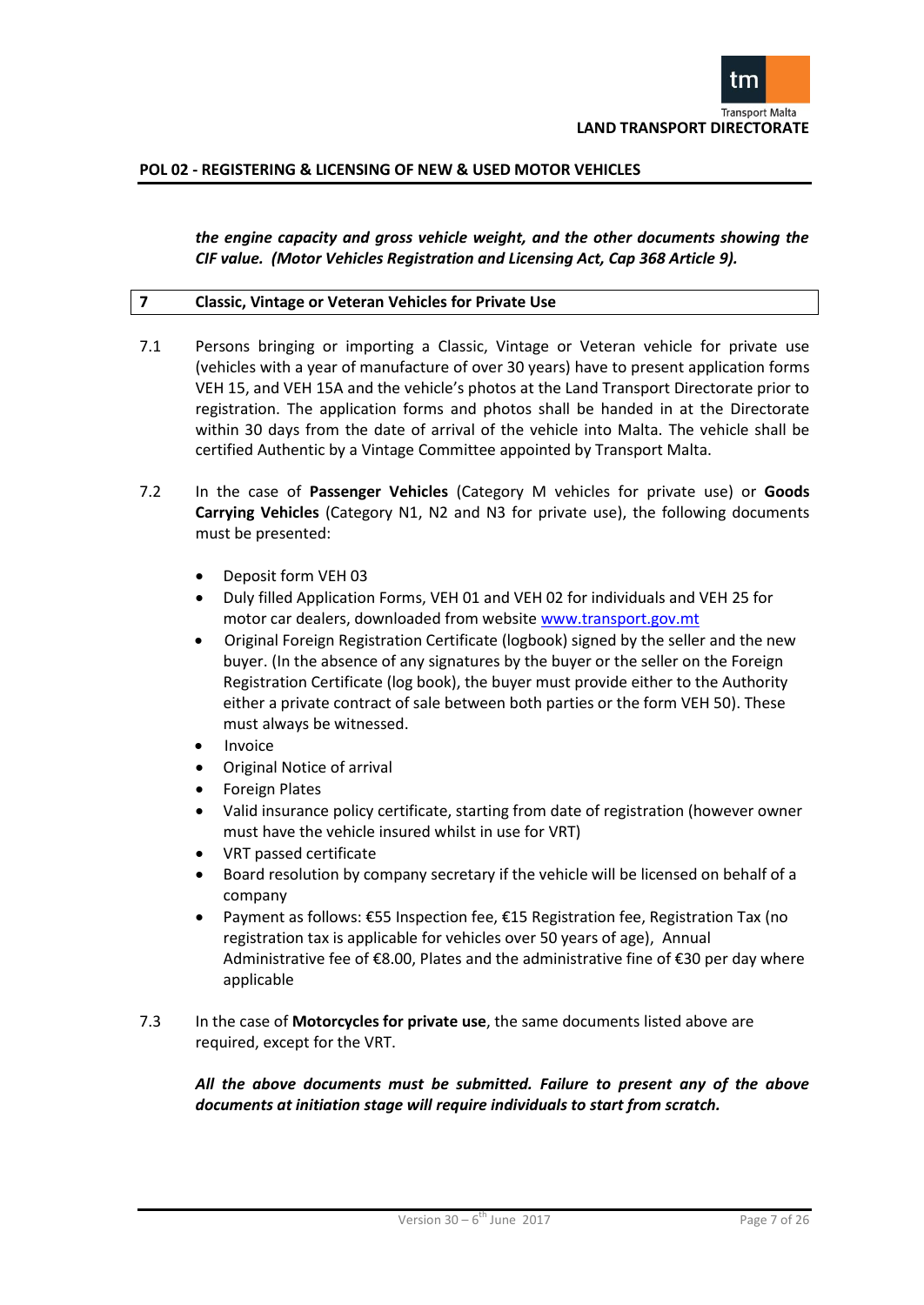

*the engine capacity and gross vehicle weight, and the other documents showing the CIF value. (Motor Vehicles Registration and Licensing Act, Cap 368 Article 9).*

#### **7 Classic, Vintage or Veteran Vehicles for Private Use**

- 7.1 Persons bringing or importing a Classic, Vintage or Veteran vehicle for private use (vehicles with a year of manufacture of over 30 years) have to present application forms VEH 15, and VEH 15A and the vehicle's photos at the Land Transport Directorate prior to registration. The application forms and photos shall be handed in at the Directorate within 30 days from the date of arrival of the vehicle into Malta. The vehicle shall be certified Authentic by a Vintage Committee appointed by Transport Malta.
- 7.2 In the case of **Passenger Vehicles** (Category M vehicles for private use) or **Goods Carrying Vehicles** (Category N1, N2 and N3 for private use), the following documents must be presented:
	- Deposit form VEH 03
	- Duly filled Application Forms, VEH 01 and VEH 02 for individuals and VEH 25 for motor car dealers, downloaded from website www.transport.gov.mt
	- Original Foreign Registration Certificate (logbook) signed by the seller and the new buyer. (In the absence of any signatures by the buyer or the seller on the Foreign Registration Certificate (log book), the buyer must provide either to the Authority either a private contract of sale between both parties or the form VEH 50). These must always be witnessed.
	- Invoice
	- Original Notice of arrival
	- Foreign Plates
	- Valid insurance policy certificate, starting from date of registration (however owner must have the vehicle insured whilst in use for VRT)
	- VRT passed certificate
	- Board resolution by company secretary if the vehicle will be licensed on behalf of a company
	- Payment as follows: €55 Inspection fee, €15 Registration fee, Registration Tax (no registration tax is applicable for vehicles over 50 years of age), Annual Administrative fee of €8.00, Plates and the administrative fine of €30 per day where applicable
- 7.3 In the case of **Motorcycles for private use**, the same documents listed above are required, except for the VRT.

*All the above documents must be submitted. Failure to present any of the above documents at initiation stage will require individuals to start from scratch.*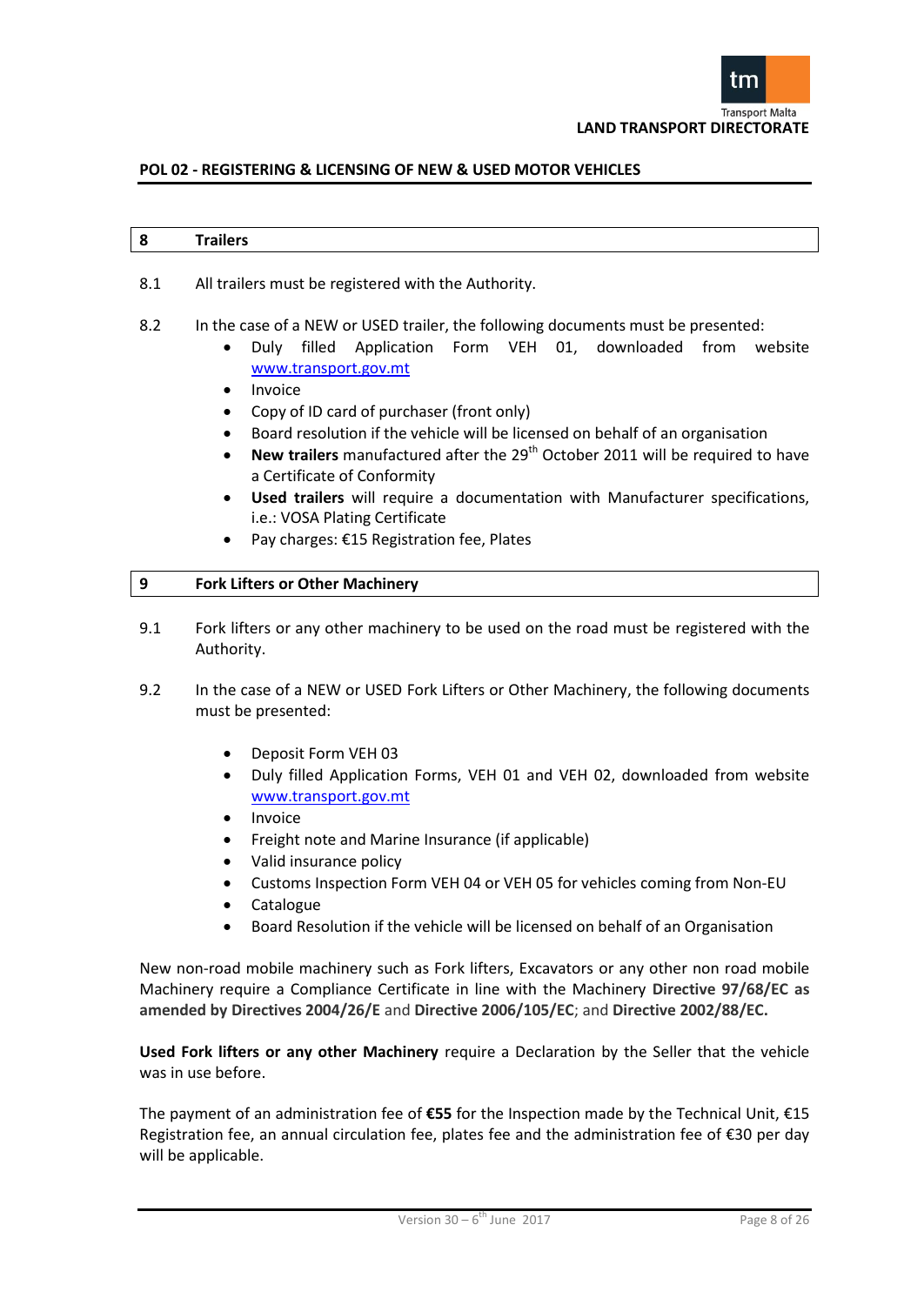

#### **8 Trailers**

- 8.1 All trailers must be registered with the Authority.
- 8.2 In the case of a NEW or USED trailer, the following documents must be presented:
	- Duly filled Application Form VEH 01, downloaded from website [www.transport.gov.mt](http://www.transport.gov.mt/)
		- Invoice
		- Copy of ID card of purchaser (front only)
		- Board resolution if the vehicle will be licensed on behalf of an organisation
		- New trailers manufactured after the 29<sup>th</sup> October 2011 will be required to have a Certificate of Conformity
		- **Used trailers** will require a documentation with Manufacturer specifications, i.e.: VOSA Plating Certificate
		- Pay charges: €15 Registration fee, Plates

#### **9 Fork Lifters or Other Machinery**

- 9.1 Fork lifters or any other machinery to be used on the road must be registered with the Authority.
- 9.2 In the case of a NEW or USED Fork Lifters or Other Machinery, the following documents must be presented:
	- Deposit Form VEH 03
	- Duly filled Application Forms, VEH 01 and VEH 02, downloaded from website [www.transport.gov.mt](http://www.transport.gov.mt/)
	- Invoice
	- Freight note and Marine Insurance (if applicable)
	- Valid insurance policy
	- Customs Inspection Form VEH 04 or VEH 05 for vehicles coming from Non-EU
	- Catalogue
	- Board Resolution if the vehicle will be licensed on behalf of an Organisation

New non-road mobile machinery such as Fork lifters, Excavators or any other non road mobile Machinery require a Compliance Certificate in line with the Machinery **Directive 97/68/EC as amended by Directives 2004/26/E** and **Directive 2006/105/EC**; and **Directive 2002/88/EC.**

**Used Fork lifters or any other Machinery** require a Declaration by the Seller that the vehicle was in use before.

The payment of an administration fee of **€55** for the Inspection made by the Technical Unit, €15 Registration fee, an annual circulation fee, plates fee and the administration fee of €30 per day will be applicable.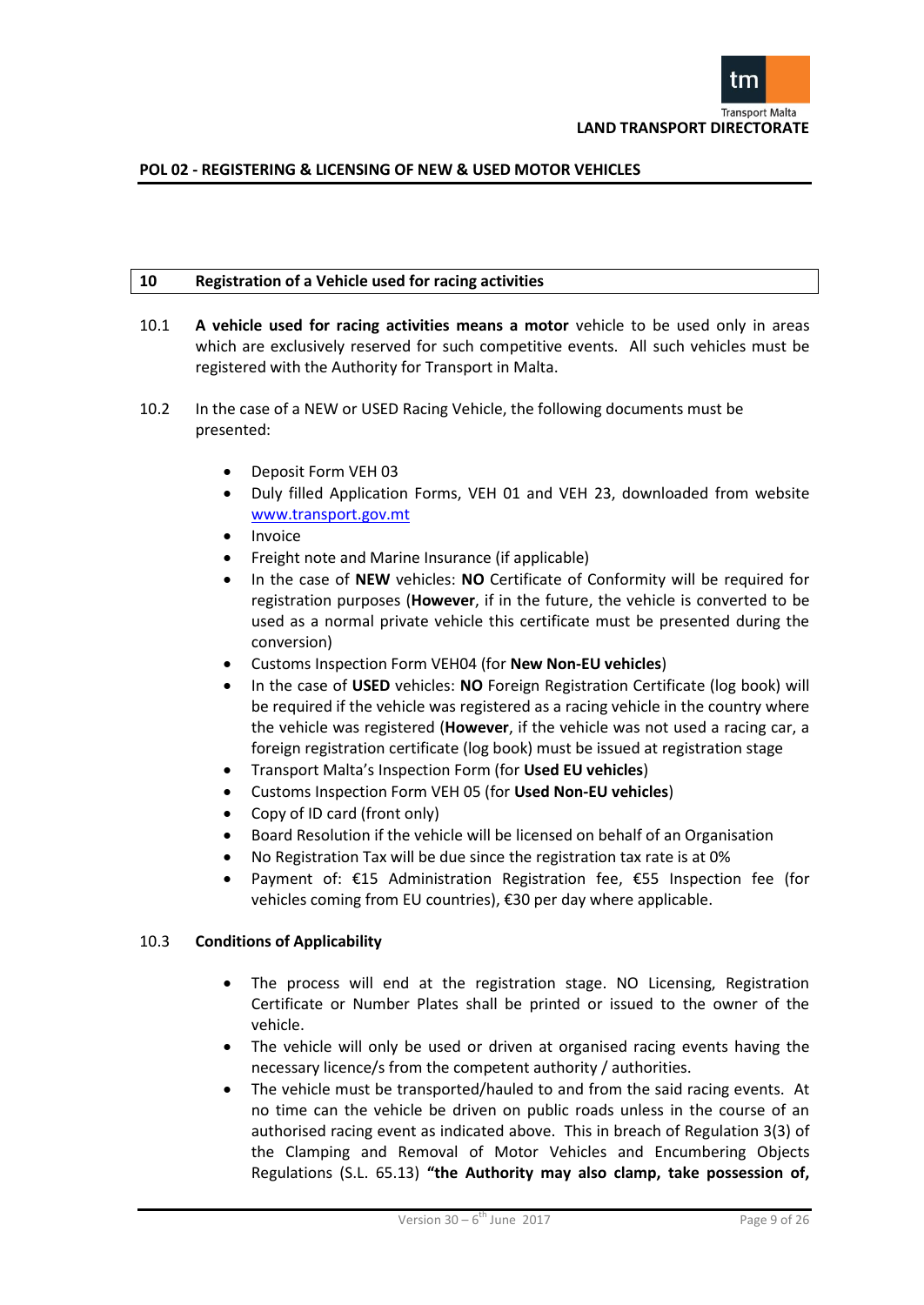

#### **10 Registration of a Vehicle used for racing activities**

- 10.1 **A vehicle used for racing activities means a motor** vehicle to be used only in areas which are exclusively reserved for such competitive events. All such vehicles must be registered with the Authority for Transport in Malta.
- 10.2 In the case of a NEW or USED Racing Vehicle, the following documents must be presented:
	- Deposit Form VEH 03
	- Duly filled Application Forms, VEH 01 and VEH 23, downloaded from website [www.transport.gov.mt](http://www.transport.gov.mt/)
	- Invoice
	- Freight note and Marine Insurance (if applicable)
	- In the case of **NEW** vehicles: **NO** Certificate of Conformity will be required for registration purposes (**However**, if in the future, the vehicle is converted to be used as a normal private vehicle this certificate must be presented during the conversion)
	- Customs Inspection Form VEH04 (for **New Non-EU vehicles**)
	- In the case of **USED** vehicles: **NO** Foreign Registration Certificate (log book) will be required if the vehicle was registered as a racing vehicle in the country where the vehicle was registered (**However**, if the vehicle was not used a racing car, a foreign registration certificate (log book) must be issued at registration stage
	- Transport Malta's Inspection Form (for **Used EU vehicles**)
	- Customs Inspection Form VEH 05 (for **Used Non-EU vehicles**)
	- Copy of ID card (front only)
	- Board Resolution if the vehicle will be licensed on behalf of an Organisation
	- No Registration Tax will be due since the registration tax rate is at 0%
	- Payment of: €15 Administration Registration fee, €55 Inspection fee (for vehicles coming from EU countries), €30 per day where applicable.

# 10.3 **Conditions of Applicability**

- The process will end at the registration stage. NO Licensing, Registration Certificate or Number Plates shall be printed or issued to the owner of the vehicle.
- The vehicle will only be used or driven at organised racing events having the necessary licence/s from the competent authority / authorities.
- The vehicle must be transported/hauled to and from the said racing events. At no time can the vehicle be driven on public roads unless in the course of an authorised racing event as indicated above. This in breach of Regulation 3(3) of the Clamping and Removal of Motor Vehicles and Encumbering Objects Regulations (S.L. 65.13) **"the Authority may also clamp, take possession of,**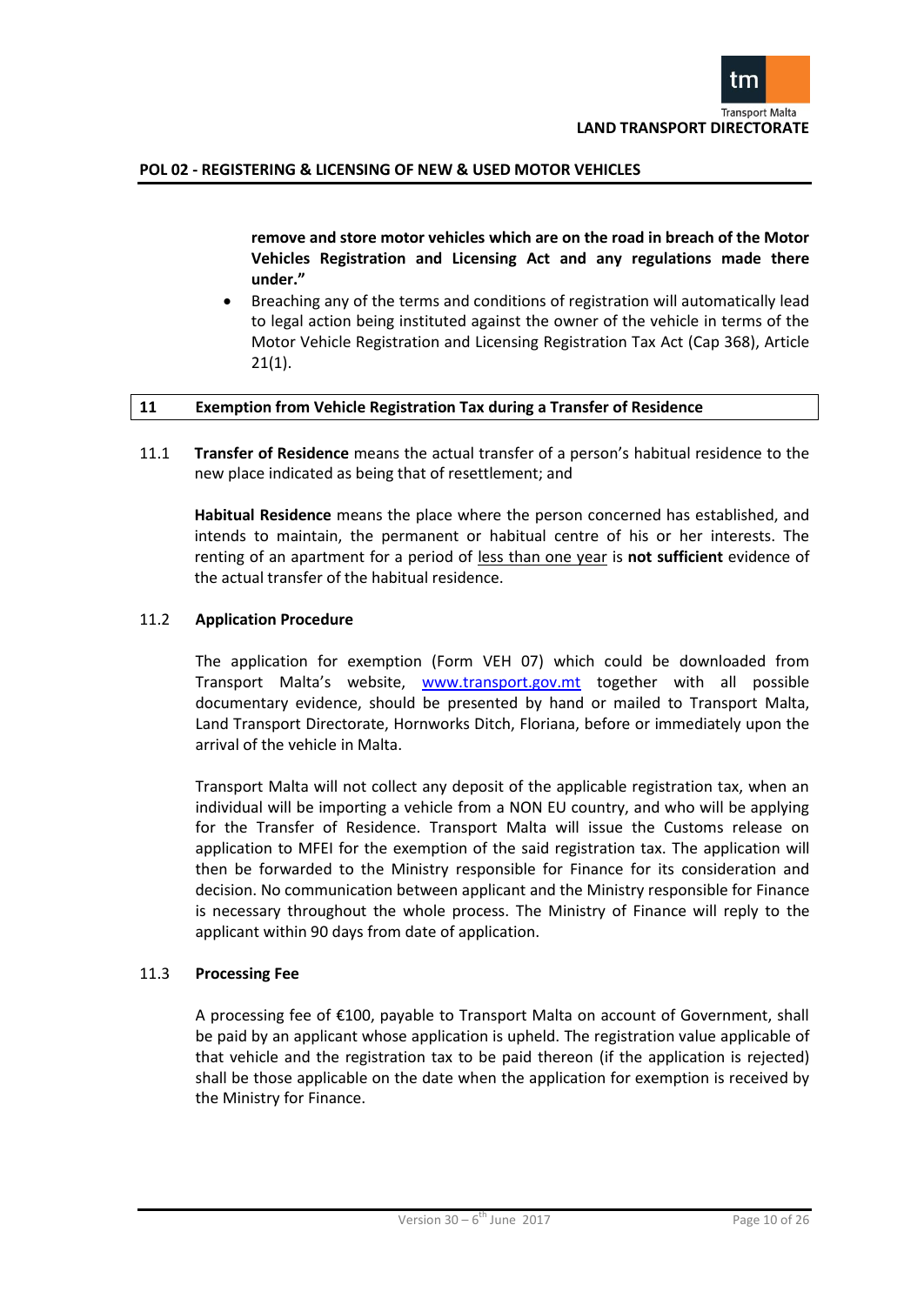

**remove and store motor vehicles which are on the road in breach of the Motor Vehicles Registration and Licensing Act and any regulations made there under."**

 Breaching any of the terms and conditions of registration will automatically lead to legal action being instituted against the owner of the vehicle in terms of the Motor Vehicle Registration and Licensing Registration Tax Act (Cap 368), Article  $21(1)$ .

#### **11 Exemption from Vehicle Registration Tax during a Transfer of Residence**

11.1 **Transfer of Residence** means the actual transfer of a person's habitual residence to the new place indicated as being that of resettlement; and

**Habitual Residence** means the place where the person concerned has established, and intends to maintain, the permanent or habitual centre of his or her interests. The renting of an apartment for a period of less than one year is **not sufficient** evidence of the actual transfer of the habitual residence.

#### 11.2 **Application Procedure**

The application for exemption (Form VEH 07) which could be downloaded from Transport Malta's website, [www.transport.gov.mt](http://www.transport.gov.mt/) together with all possible documentary evidence, should be presented by hand or mailed to Transport Malta, Land Transport Directorate, Hornworks Ditch, Floriana, before or immediately upon the arrival of the vehicle in Malta.

Transport Malta will not collect any deposit of the applicable registration tax, when an individual will be importing a vehicle from a NON EU country, and who will be applying for the Transfer of Residence. Transport Malta will issue the Customs release on application to MFEI for the exemption of the said registration tax. The application will then be forwarded to the Ministry responsible for Finance for its consideration and decision. No communication between applicant and the Ministry responsible for Finance is necessary throughout the whole process. The Ministry of Finance will reply to the applicant within 90 days from date of application.

#### 11.3 **Processing Fee**

A processing fee of €100, payable to Transport Malta on account of Government, shall be paid by an applicant whose application is upheld. The registration value applicable of that vehicle and the registration tax to be paid thereon (if the application is rejected) shall be those applicable on the date when the application for exemption is received by the Ministry for Finance.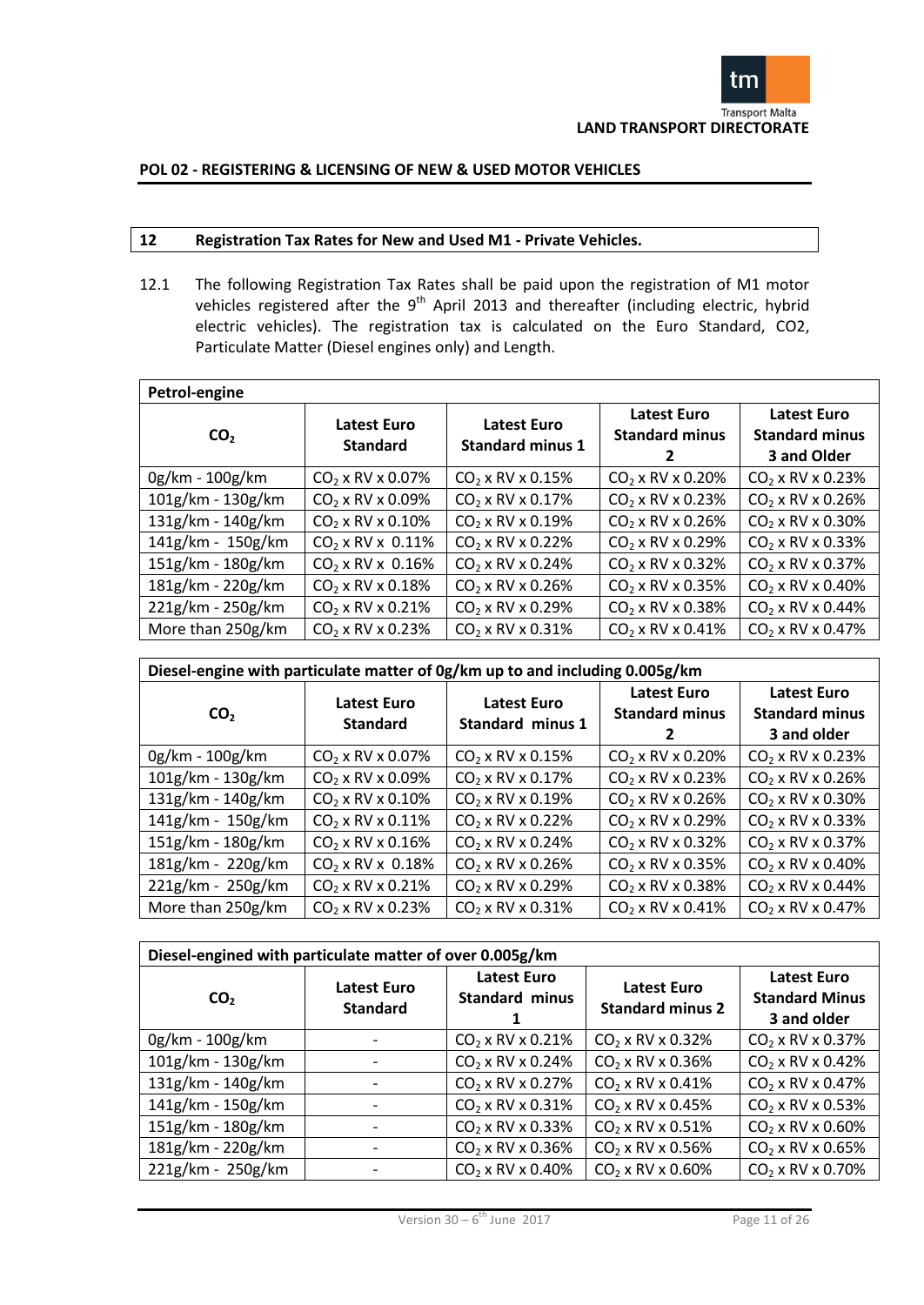

# **12 Registration Tax Rates for New and Used M1 - Private Vehicles.**

12.1 The following Registration Tax Rates shall be paid upon the registration of M1 motor vehicles registered after the  $9<sup>th</sup>$  April 2013 and thereafter (including electric, hybrid electric vehicles). The registration tax is calculated on the Euro Standard, CO2, Particulate Matter (Diesel engines only) and Length.

| Petrol-engine     |                                |                                               |                                             |                                                     |  |  |  |  |  |
|-------------------|--------------------------------|-----------------------------------------------|---------------------------------------------|-----------------------------------------------------|--|--|--|--|--|
| CO <sub>2</sub>   | Latest Euro<br><b>Standard</b> | <b>Latest Euro</b><br><b>Standard minus 1</b> | <b>Latest Euro</b><br><b>Standard minus</b> | Latest Euro<br><b>Standard minus</b><br>3 and Older |  |  |  |  |  |
| 0g/km - 100g/km   | $CO2$ x RV x 0.07%             | $CO2$ x RV x 0.15%                            | $CO2$ x RV x 0.20%                          | $CO2$ x RV x 0.23%                                  |  |  |  |  |  |
| 101g/km - 130g/km | $CO2$ x RV x 0.09%             | $CO2$ x RV x 0.17%                            | $CO2$ x RV x 0.23%                          | $CO2$ x RV x 0.26%                                  |  |  |  |  |  |
| 131g/km - 140g/km | $CO2$ x RV x 0.10%             | $CO2$ x RV x 0.19%                            | $CO2$ x RV x 0.26%                          | $CO2$ x RV x 0.30%                                  |  |  |  |  |  |
| 141g/km - 150g/km | $CO2$ x RV x 0.11%             | $CO2$ x RV x 0.22%                            | $CO_2$ x RV x 0.29%                         | $CO2$ x RV x 0.33%                                  |  |  |  |  |  |
| 151g/km - 180g/km | $CO2$ x RV x 0.16%             | $CO2$ x RV x 0.24%                            | $CO2$ x RV x 0.32%                          | $CO2$ x RV x 0.37%                                  |  |  |  |  |  |
| 181g/km - 220g/km | $CO2$ x RV x 0.18%             | $CO2$ x RV x 0.26%                            | $CO2$ x RV x 0.35%                          | $CO2$ x RV x 0.40%                                  |  |  |  |  |  |
| 221g/km - 250g/km | $CO2$ x RV x 0.21%             | $CO2$ x RV x 0.29%                            | $CO2$ x RV x 0.38%                          | $CO2$ x RV x 0.44%                                  |  |  |  |  |  |
| More than 250g/km | $CO2$ x RV x 0.23%             | $CO2$ x RV x 0.31%                            | $CO2$ x RV x 0.41%                          | $CO2$ x RV x 0.47%                                  |  |  |  |  |  |

| Diesel-engine with particulate matter of 0g/km up to and including 0.005g/km |                                       |                                               |                                             |                                                            |  |  |  |  |  |
|------------------------------------------------------------------------------|---------------------------------------|-----------------------------------------------|---------------------------------------------|------------------------------------------------------------|--|--|--|--|--|
| CO <sub>2</sub>                                                              | <b>Latest Euro</b><br><b>Standard</b> | <b>Latest Euro</b><br><b>Standard minus 1</b> | <b>Latest Euro</b><br><b>Standard minus</b> | <b>Latest Euro</b><br><b>Standard minus</b><br>3 and older |  |  |  |  |  |
| 0g/km - 100g/km                                                              | $CO_2$ x RV x 0.07%                   | $CO2$ x RV x 0.15%                            | $CO2$ x RV x 0.20%                          | $CO2$ x RV x 0.23%                                         |  |  |  |  |  |
| 101g/km - 130g/km                                                            | $CO_2$ x RV x 0.09%                   | $CO_2$ x RV x 0.17%                           | $CO_2$ x RV x 0.23%                         | $CO_2$ x RV x 0.26%                                        |  |  |  |  |  |
| 131g/km - 140g/km                                                            | $CO2$ x RV x 0.10%                    | $CO2$ x RV x 0.19%                            | $CO2$ x RV x 0.26%                          | $CO2$ x RV x 0.30%                                         |  |  |  |  |  |
| 141g/km - 150g/km                                                            | $CO2$ x RV x 0.11%                    | $CO2$ x RV x 0.22%                            | $CO2$ x RV x 0.29%                          | $CO2$ x RV x 0.33%                                         |  |  |  |  |  |
| 151g/km - 180g/km                                                            | $CO2$ x RV x 0.16%                    | $CO2$ x RV x 0.24%                            | $CO2$ x RV x 0.32%                          | $CO2$ x RV x 0.37%                                         |  |  |  |  |  |
| 181g/km - 220g/km                                                            | $CO2$ x RV x 0.18%                    | $CO2$ x RV x 0.26%                            | $CO2$ x RV x 0.35%                          | $CO2$ x RV x 0.40%                                         |  |  |  |  |  |
| 221g/km - 250g/km                                                            | $CO2$ x RV x 0.21%                    | $CO_2$ x RV x 0.29%                           | $CO_2$ x RV x 0.38%                         | $CO_2$ x RV x 0.44%                                        |  |  |  |  |  |
| More than 250g/km                                                            | $CO2$ x RV x 0.23%                    | $CO2$ x RV x 0.31%                            | $CO2$ x RV x 0.41%                          | $CO_2$ x RV x 0.47%                                        |  |  |  |  |  |

| Diesel-engined with particulate matter of over 0.005g/km |                                       |                                             |                                               |                                                            |  |  |  |  |
|----------------------------------------------------------|---------------------------------------|---------------------------------------------|-----------------------------------------------|------------------------------------------------------------|--|--|--|--|
| CO <sub>2</sub>                                          | <b>Latest Euro</b><br><b>Standard</b> | <b>Latest Euro</b><br><b>Standard minus</b> | <b>Latest Euro</b><br><b>Standard minus 2</b> | <b>Latest Euro</b><br><b>Standard Minus</b><br>3 and older |  |  |  |  |
| 0g/km - 100g/km                                          |                                       | $CO2$ x RV x 0.21%                          | $CO2$ x RV x 0.32%                            | $CO2$ x RV x 0.37%                                         |  |  |  |  |
| 101g/km - 130g/km                                        |                                       | $CO_2$ x RV x 0.24%                         | $CO2$ x RV x 0.36%                            | $CO2$ x RV x 0.42%                                         |  |  |  |  |
| 131g/km - 140g/km                                        |                                       | $CO2$ x RV x 0.27%                          | $CO2$ x RV x 0.41%                            | $CO2$ x RV x 0.47%                                         |  |  |  |  |
| 141g/km - 150g/km                                        |                                       | $CO2$ x RV x 0.31%                          | $CO2$ x RV x 0.45%                            | $CO2$ x RV x 0.53%                                         |  |  |  |  |
| 151g/km - 180g/km                                        |                                       | $CO2$ x RV x 0.33%                          | $CO2$ x RV x 0.51%                            | $CO2$ x RV x 0.60%                                         |  |  |  |  |
| 181g/km - 220g/km                                        |                                       | $CO2$ x RV x 0.36%                          | $CO2$ x RV x 0.56%                            | $CO2$ x RV x 0.65%                                         |  |  |  |  |
| 221g/km - 250g/km                                        |                                       | $CO2$ x RV x 0.40%                          | $CO2$ x RV x 0.60%                            | $CO2$ x RV x 0.70%                                         |  |  |  |  |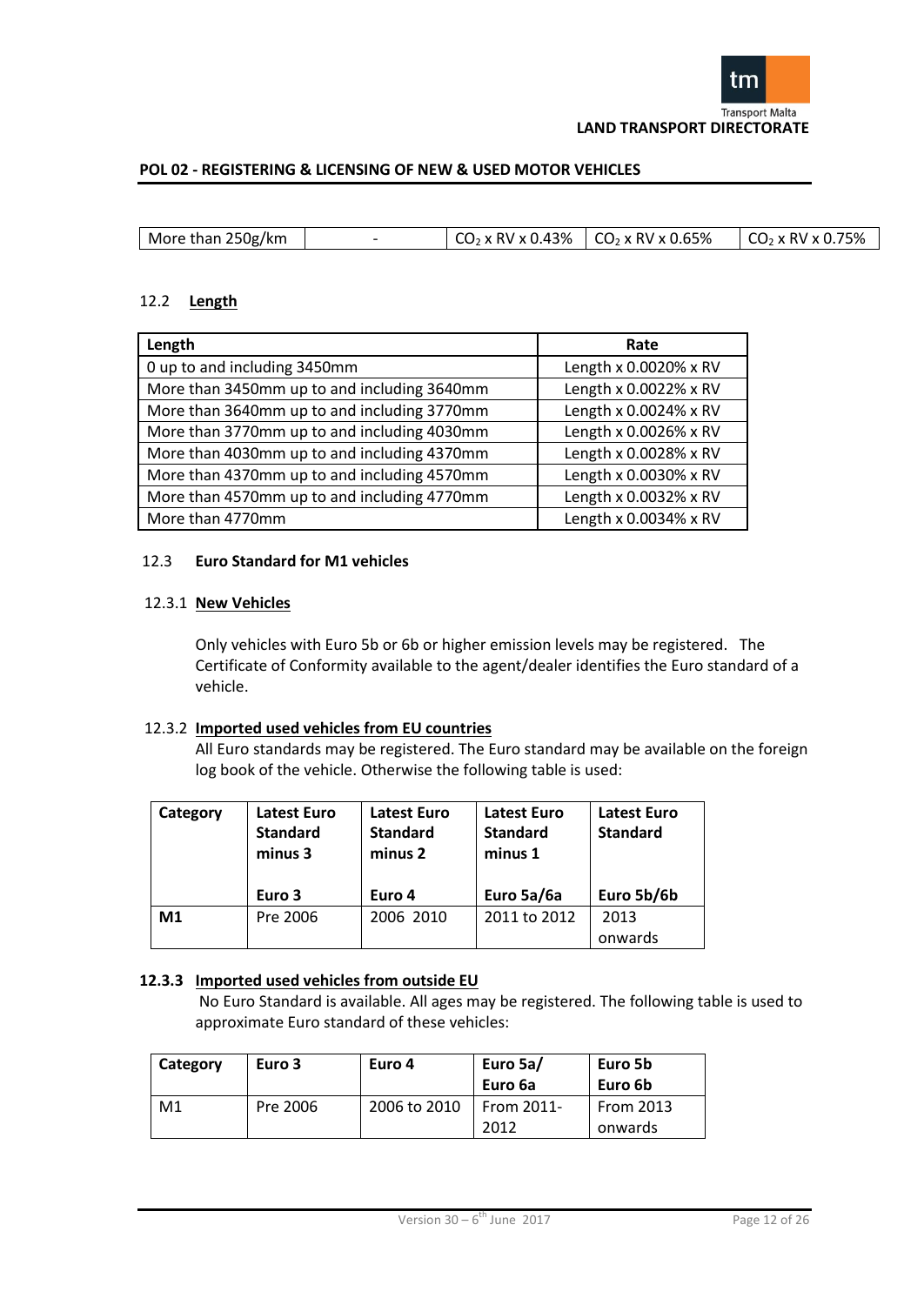

| More than 250g/km | $\mid$ CO <sub>2</sub> x RV x 0.43% $\mid$ CO <sub>2</sub> x RV x 0.65% | $CO2 \times$ RV x 0.75% |
|-------------------|-------------------------------------------------------------------------|-------------------------|
|                   |                                                                         |                         |

# 12.2 **Length**

| Length                                      | Rate                  |
|---------------------------------------------|-----------------------|
| 0 up to and including 3450mm                | Length x 0.0020% x RV |
| More than 3450mm up to and including 3640mm | Length x 0.0022% x RV |
| More than 3640mm up to and including 3770mm | Length x 0.0024% x RV |
| More than 3770mm up to and including 4030mm | Length x 0.0026% x RV |
| More than 4030mm up to and including 4370mm | Length x 0.0028% x RV |
| More than 4370mm up to and including 4570mm | Length x 0.0030% x RV |
| More than 4570mm up to and including 4770mm | Length x 0.0032% x RV |
| More than 4770mm                            | Length x 0.0034% x RV |

# 12.3 **Euro Standard for M1 vehicles**

# 12.3.1 **New Vehicles**

Only vehicles with Euro 5b or 6b or higher emission levels may be registered. The Certificate of Conformity available to the agent/dealer identifies the Euro standard of a vehicle.

# 12.3.2 **Imported used vehicles from EU countries**

All Euro standards may be registered. The Euro standard may be available on the foreign log book of the vehicle. Otherwise the following table is used:

| Category | <b>Latest Euro</b><br><b>Standard</b><br>minus 3 | <b>Latest Euro</b><br><b>Standard</b><br>minus 2 | Latest Euro<br><b>Standard</b><br>minus 1 | <b>Latest Euro</b><br><b>Standard</b> |
|----------|--------------------------------------------------|--------------------------------------------------|-------------------------------------------|---------------------------------------|
|          | Euro 3                                           | Euro 4                                           | Euro 5a/6a                                | Euro 5b/6b                            |
| M1       | Pre 2006                                         | 2006 2010                                        | 2011 to 2012                              | 2013                                  |
|          |                                                  |                                                  |                                           | onwards                               |

# **12.3.3 Imported used vehicles from outside EU**

No Euro Standard is available. All ages may be registered. The following table is used to approximate Euro standard of these vehicles:

| Category | Euro 3   | Euro 4       | Euro 5a/<br>Euro 6a | Euro 5b<br>Euro 6b   |  |
|----------|----------|--------------|---------------------|----------------------|--|
| M1       | Pre 2006 | 2006 to 2010 | From 2011-<br>2012  | From 2013<br>onwards |  |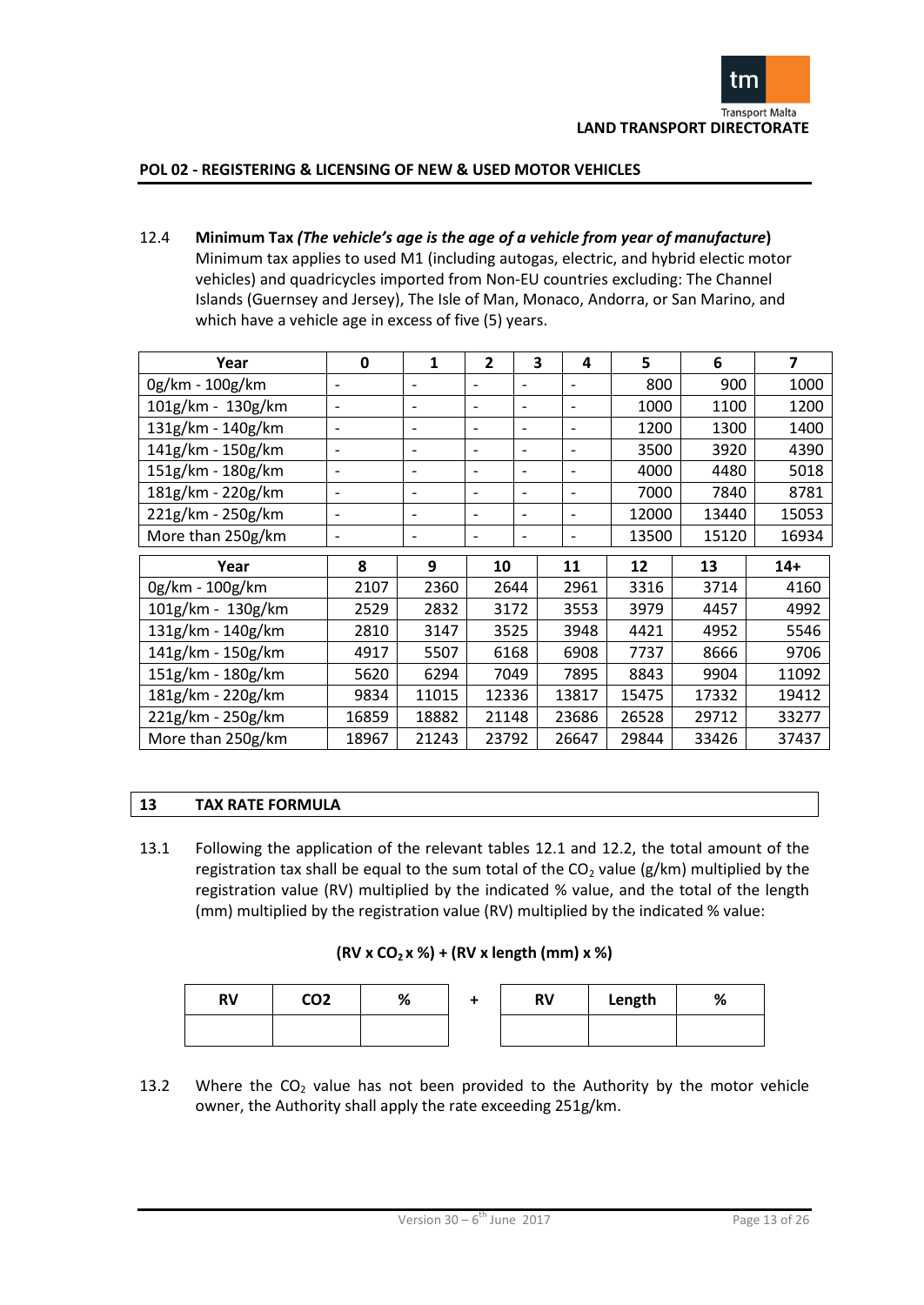

12.4 **Minimum Tax** *(The vehicle's age is the age of a vehicle from year of manufacture***)** Minimum tax applies to used M1 (including autogas, electric, and hybrid electic motor vehicles) and quadricycles imported from Non-EU countries excluding: The Channel Islands (Guernsey and Jersey), The Isle of Man, Monaco, Andorra, or San Marino, and which have a vehicle age in excess of five (5) years.

| Year              | $\mathbf 0$              | 1                        | $\overline{2}$               | 3                        | 4                        | 5     | 6     | $\overline{\mathbf{z}}$ |
|-------------------|--------------------------|--------------------------|------------------------------|--------------------------|--------------------------|-------|-------|-------------------------|
| 0g/km - 100g/km   | $\overline{\phantom{a}}$ | $\overline{\phantom{a}}$ | $\qquad \qquad \blacksquare$ | $\blacksquare$           | $\overline{\phantom{0}}$ | 800   | 900   | 1000                    |
| 101g/km - 130g/km | $\overline{\phantom{a}}$ | $\overline{\phantom{a}}$ | $\overline{\phantom{0}}$     | $\overline{\phantom{0}}$ | $\overline{\phantom{a}}$ | 1000  | 1100  | 1200                    |
| 131g/km - 140g/km | $\overline{\phantom{a}}$ | $\overline{\phantom{a}}$ | $\overline{\phantom{0}}$     | $\overline{\phantom{0}}$ | $\overline{\phantom{a}}$ | 1200  | 1300  | 1400                    |
| 141g/km - 150g/km | $\overline{\phantom{a}}$ | $\overline{\phantom{a}}$ | $\overline{\phantom{0}}$     | $\overline{a}$           | $\overline{\phantom{a}}$ | 3500  | 3920  | 4390                    |
| 151g/km - 180g/km | $\overline{\phantom{a}}$ | $\overline{\phantom{a}}$ | $\overline{\phantom{0}}$     | $\overline{\phantom{0}}$ | $\overline{\phantom{a}}$ | 4000  | 4480  | 5018                    |
| 181g/km - 220g/km | $\overline{\phantom{a}}$ | $\overline{\phantom{a}}$ | $\overline{\phantom{0}}$     | $\overline{\phantom{0}}$ | $\overline{\phantom{a}}$ | 7000  | 7840  | 8781                    |
| 221g/km - 250g/km | $\overline{\phantom{a}}$ | $\overline{\phantom{a}}$ | $\overline{\phantom{0}}$     | $\overline{\phantom{0}}$ | $\overline{\phantom{a}}$ | 12000 | 13440 | 15053                   |
| More than 250g/km | $\overline{\phantom{0}}$ | $\overline{\phantom{a}}$ | $\overline{\phantom{0}}$     | $\overline{\phantom{0}}$ | $\overline{\phantom{a}}$ | 13500 | 15120 | 16934                   |
| Year              | 8                        | 9                        | 10                           |                          | 11                       | 12    | 13    | $14+$                   |
| 0g/km - 100g/km   | 2107                     | 2360                     | 2644                         |                          | 2961                     | 3316  | 3714  | 4160                    |
| 101g/km - 130g/km | 2529                     | 2832                     | 3172                         |                          | 3553                     | 3979  | 4457  | 4992                    |
| 131g/km - 140g/km | 2810                     | 3147                     | 3525                         |                          | 3948                     | 4421  | 4952  | 5546                    |
| 141g/km - 150g/km | 4917                     | 5507                     | 6168                         |                          | 6908                     | 7737  | 8666  | 9706                    |
| 151g/km - 180g/km | 5620                     | 6294                     | 7049                         |                          | 7895                     | 8843  | 9904  | 11092                   |
| 181g/km - 220g/km | 9834                     | 11015                    | 12336                        |                          | 13817                    | 15475 | 17332 | 19412                   |
| 221g/km - 250g/km | 16859                    | 18882                    | 21148                        |                          | 23686                    | 26528 | 29712 | 33277                   |
| More than 250g/km | 18967                    | 21243                    | 23792                        |                          | 26647                    | 29844 | 33426 | 37437                   |

# **13 TAX RATE FORMULA**

13.1 Following the application of the relevant tables 12.1 and 12.2, the total amount of the registration tax shall be equal to the sum total of the  $CO<sub>2</sub>$  value (g/km) multiplied by the registration value (RV) multiplied by the indicated % value, and the total of the length (mm) multiplied by the registration value (RV) multiplied by the indicated % value:

| <b>RV</b> | CO <sub>2</sub> | % | <b>RV</b> | Length | % |
|-----------|-----------------|---|-----------|--------|---|
|           |                 |   |           |        |   |

13.2 Where the  $CO<sub>2</sub>$  value has not been provided to the Authority by the motor vehicle owner, the Authority shall apply the rate exceeding 251g/km.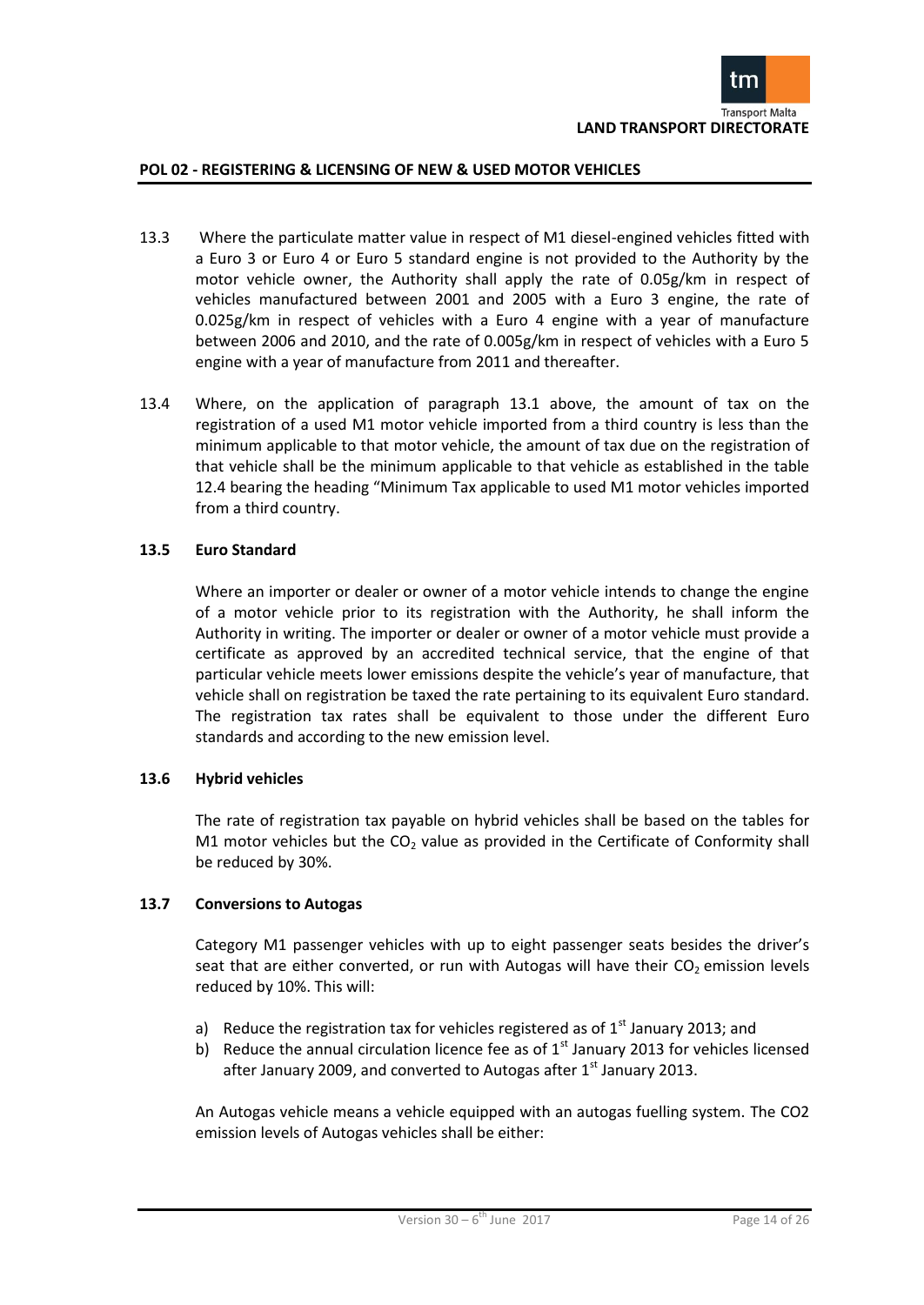

- 13.3 Where the particulate matter value in respect of M1 diesel-engined vehicles fitted with a Euro 3 or Euro 4 or Euro 5 standard engine is not provided to the Authority by the motor vehicle owner, the Authority shall apply the rate of 0.05g/km in respect of vehicles manufactured between 2001 and 2005 with a Euro 3 engine, the rate of 0.025g/km in respect of vehicles with a Euro 4 engine with a year of manufacture between 2006 and 2010, and the rate of 0.005g/km in respect of vehicles with a Euro 5 engine with a year of manufacture from 2011 and thereafter.
- 13.4 Where, on the application of paragraph 13.1 above, the amount of tax on the registration of a used M1 motor vehicle imported from a third country is less than the minimum applicable to that motor vehicle, the amount of tax due on the registration of that vehicle shall be the minimum applicable to that vehicle as established in the table 12.4 bearing the heading "Minimum Tax applicable to used M1 motor vehicles imported from a third country.

# **13.5 Euro Standard**

Where an importer or dealer or owner of a motor vehicle intends to change the engine of a motor vehicle prior to its registration with the Authority, he shall inform the Authority in writing. The importer or dealer or owner of a motor vehicle must provide a certificate as approved by an accredited technical service, that the engine of that particular vehicle meets lower emissions despite the vehicle's year of manufacture, that vehicle shall on registration be taxed the rate pertaining to its equivalent Euro standard. The registration tax rates shall be equivalent to those under the different Euro standards and according to the new emission level.

# **13.6 Hybrid vehicles**

The rate of registration tax payable on hybrid vehicles shall be based on the tables for M1 motor vehicles but the  $CO<sub>2</sub>$  value as provided in the Certificate of Conformity shall be reduced by 30%.

#### **13.7 Conversions to Autogas**

Category M1 passenger vehicles with up to eight passenger seats besides the driver's seat that are either converted, or run with Autogas will have their  $CO<sub>2</sub>$  emission levels reduced by 10%. This will:

- a) Reduce the registration tax for vehicles registered as of  $1<sup>st</sup>$  January 2013; and
- b) Reduce the annual circulation licence fee as of  $1<sup>st</sup>$  January 2013 for vehicles licensed after January 2009, and converted to Autogas after  $1<sup>st</sup>$  January 2013.

An Autogas vehicle means a vehicle equipped with an autogas fuelling system. The CO2 emission levels of Autogas vehicles shall be either: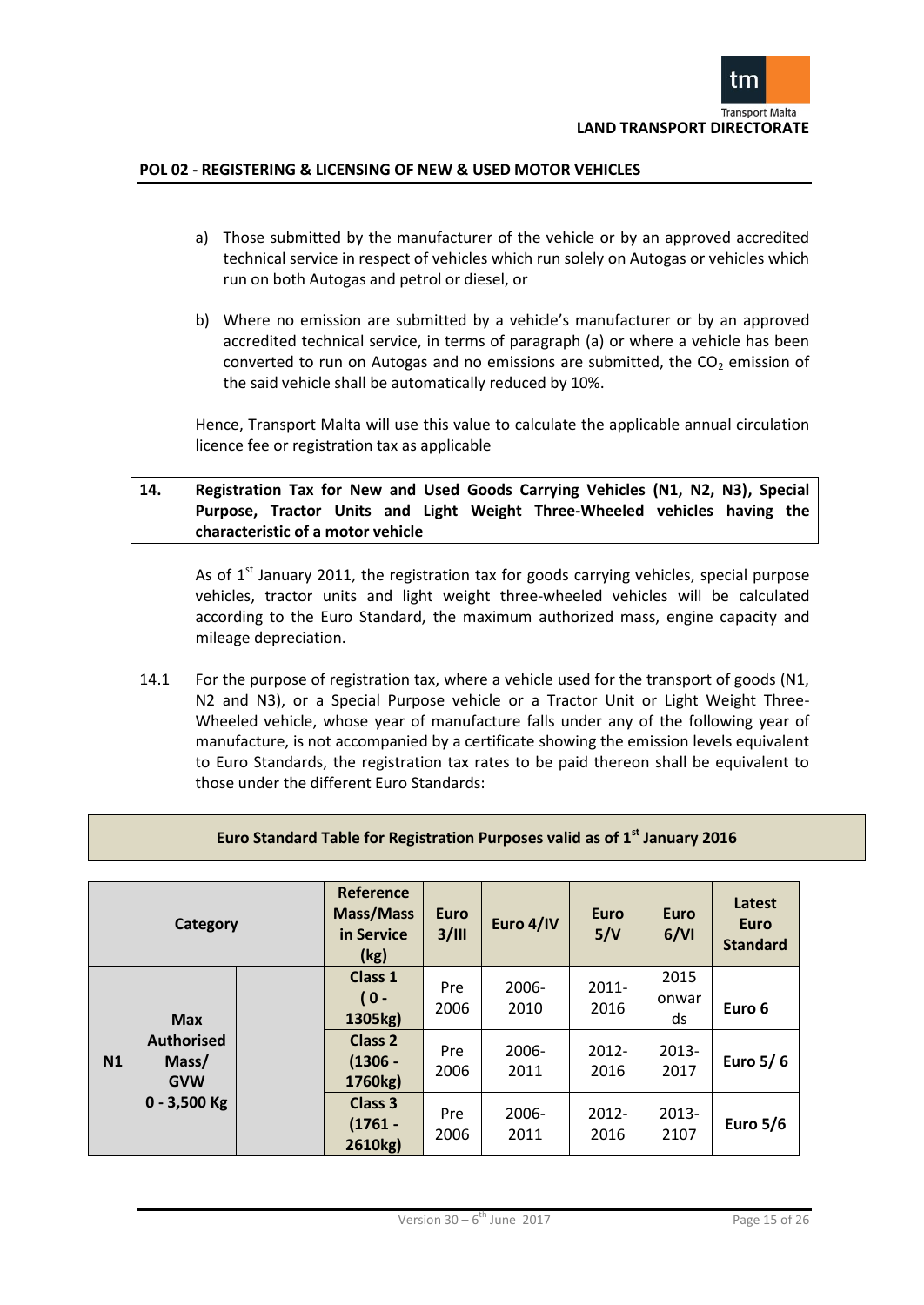

- a) Those submitted by the manufacturer of the vehicle or by an approved accredited technical service in respect of vehicles which run solely on Autogas or vehicles which run on both Autogas and petrol or diesel, or
- b) Where no emission are submitted by a vehicle's manufacturer or by an approved accredited technical service, in terms of paragraph (a) or where a vehicle has been converted to run on Autogas and no emissions are submitted, the  $CO<sub>2</sub>$  emission of the said vehicle shall be automatically reduced by 10%.

Hence, Transport Malta will use this value to calculate the applicable annual circulation licence fee or registration tax as applicable

# **14. Registration Tax for New and Used Goods Carrying Vehicles (N1, N2, N3), Special Purpose, Tractor Units and Light Weight Three-Wheeled vehicles having the characteristic of a motor vehicle**

As of  $1<sup>st</sup>$  January 2011, the registration tax for goods carrying vehicles, special purpose vehicles, tractor units and light weight three-wheeled vehicles will be calculated according to the Euro Standard, the maximum authorized mass, engine capacity and mileage depreciation.

14.1 For the purpose of registration tax, where a vehicle used for the transport of goods (N1, N2 and N3), or a Special Purpose vehicle or a Tractor Unit or Light Weight Three-Wheeled vehicle, whose year of manufacture falls under any of the following year of manufacture, is not accompanied by a certificate showing the emission levels equivalent to Euro Standards, the registration tax rates to be paid thereon shall be equivalent to those under the different Euro Standards:

|    | Category                                                   | <b>Reference</b><br><b>Mass/Mass</b><br>in Service<br>(kg) | <b>Euro</b><br>3/III | Euro 4/IV        | <b>Euro</b><br>5/V | <b>Euro</b><br>6/VI | Latest<br><b>Euro</b><br><b>Standard</b> |
|----|------------------------------------------------------------|------------------------------------------------------------|----------------------|------------------|--------------------|---------------------|------------------------------------------|
|    | <b>Max</b>                                                 | Class 1<br>$0 -$<br>1305kg)                                | Pre<br>2006          | $2006 -$<br>2010 | $2011 -$<br>2016   | 2015<br>onwar<br>ds | Euro 6                                   |
| N1 | <b>Authorised</b><br>Mass/<br><b>GVW</b><br>$0 - 3,500$ Kg | Class 2<br>$(1306 -$<br>1760kg)                            | Pre<br>2006          | $2006 -$<br>2011 | $2012 -$<br>2016   | $2013 -$<br>2017    | Euro 5/6                                 |
|    |                                                            | <b>Class 3</b><br>$(1761 -$<br>2610kg)                     | Pre<br>2006          | $2006 -$<br>2011 | $2012 -$<br>2016   | $2013 -$<br>2107    | <b>Euro 5/6</b>                          |

# **Euro Standard Table for Registration Purposes valid as of 1st January 2016**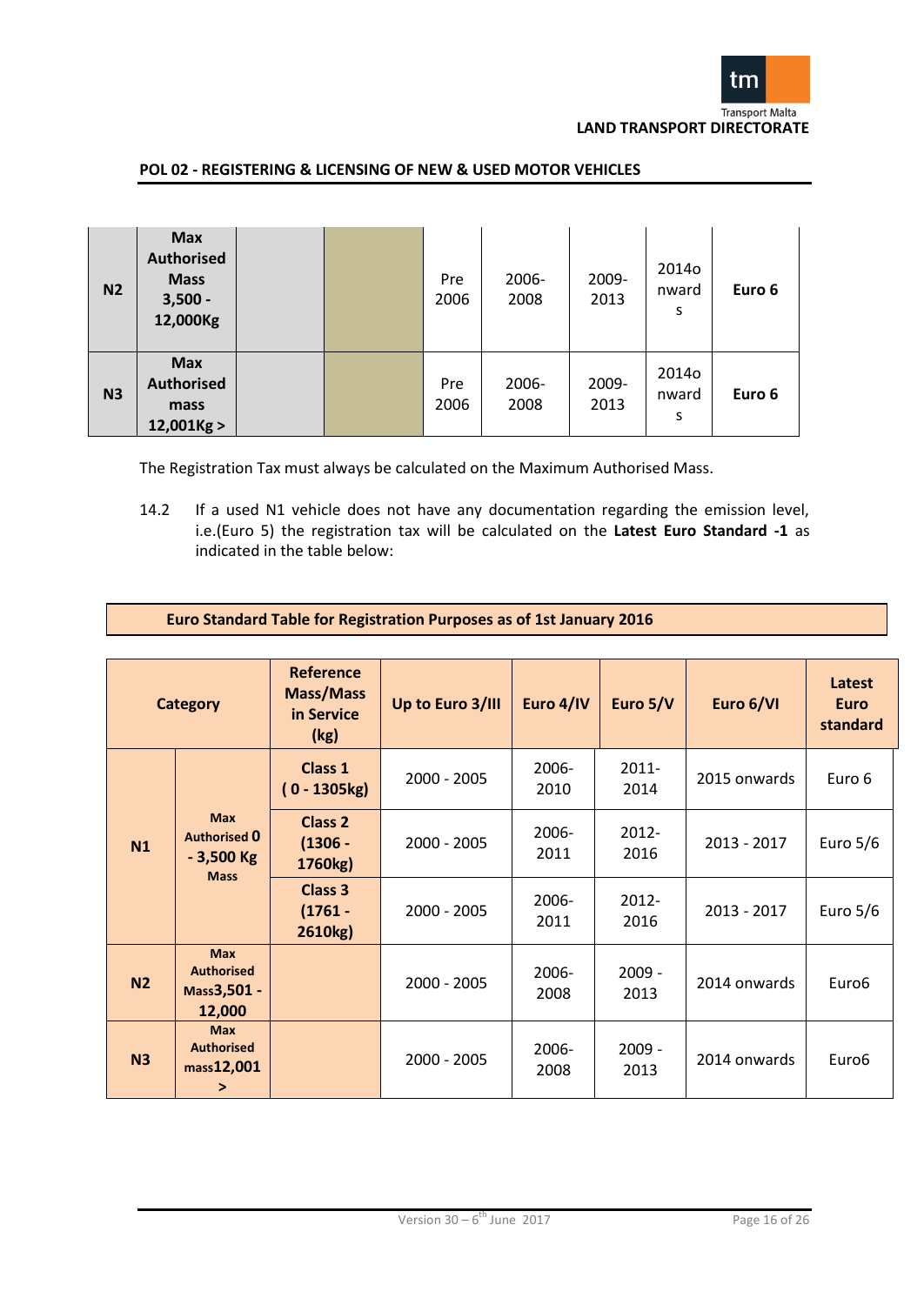

| N <sub>2</sub> | <b>Max</b><br><b>Authorised</b><br><b>Mass</b><br>$3,500 -$<br>12,000Kg |  | Pre<br>2006 | 2006-<br>2008 | 2009-<br>2013 | 20140<br>nward<br>S | Euro 6 |
|----------------|-------------------------------------------------------------------------|--|-------------|---------------|---------------|---------------------|--------|
| N <sub>3</sub> | <b>Max</b><br><b>Authorised</b><br>mass<br>$12,001$ Kg >                |  | Pre<br>2006 | 2006-<br>2008 | 2009-<br>2013 | 20140<br>nward<br>S | Euro 6 |

The Registration Tax must always be calculated on the Maximum Authorised Mass.

14.2 If a used N1 vehicle does not have any documentation regarding the emission level, i.e.(Euro 5) the registration tax will be calculated on the **Latest Euro Standard -1** as indicated in the table below:

| Euro Standard Table for Registration Purposes as of 1st January 2016 |  |
|----------------------------------------------------------------------|--|
|----------------------------------------------------------------------|--|

|                | <b>Category</b>                                                 | <b>Reference</b><br><b>Mass/Mass</b><br>in Service<br>(kg) | Up to Euro 3/III | Euro 4/IV        | Euro 5/V         | Euro 6/VI     | Latest<br><b>Euro</b><br>standard |
|----------------|-----------------------------------------------------------------|------------------------------------------------------------|------------------|------------------|------------------|---------------|-----------------------------------|
|                |                                                                 | Class 1<br>$0 - 1305$ kg)                                  | $2000 - 2005$    | $2006 -$<br>2010 | $2011 -$<br>2014 | 2015 onwards  | Euro 6                            |
| N1             | <b>Max</b><br><b>Authorised 0</b><br>$-3,500$ Kg<br><b>Mass</b> | Class 2<br>$(1306 -$<br>1760kg)                            | $2000 - 2005$    | 2006-<br>2011    | $2012 -$<br>2016 | 2013 - 2017   | Euro $5/6$                        |
|                |                                                                 | Class 3<br>$(1761 -$<br>2610kg)                            | $2000 - 2005$    | 2006-<br>2011    | 2012-<br>2016    | $2013 - 2017$ | Euro $5/6$                        |
| N <sub>2</sub> | <b>Max</b><br><b>Authorised</b><br>Mass3,501 -<br>12,000        |                                                            | $2000 - 2005$    | 2006-<br>2008    | $2009 -$<br>2013 | 2014 onwards  | Euro <sub>6</sub>                 |
| N <sub>3</sub> | <b>Max</b><br><b>Authorised</b><br>mass12,001<br>$\geq$         |                                                            | $2000 - 2005$    | 2006-<br>2008    | $2009 -$<br>2013 | 2014 onwards  | Euro <sub>6</sub>                 |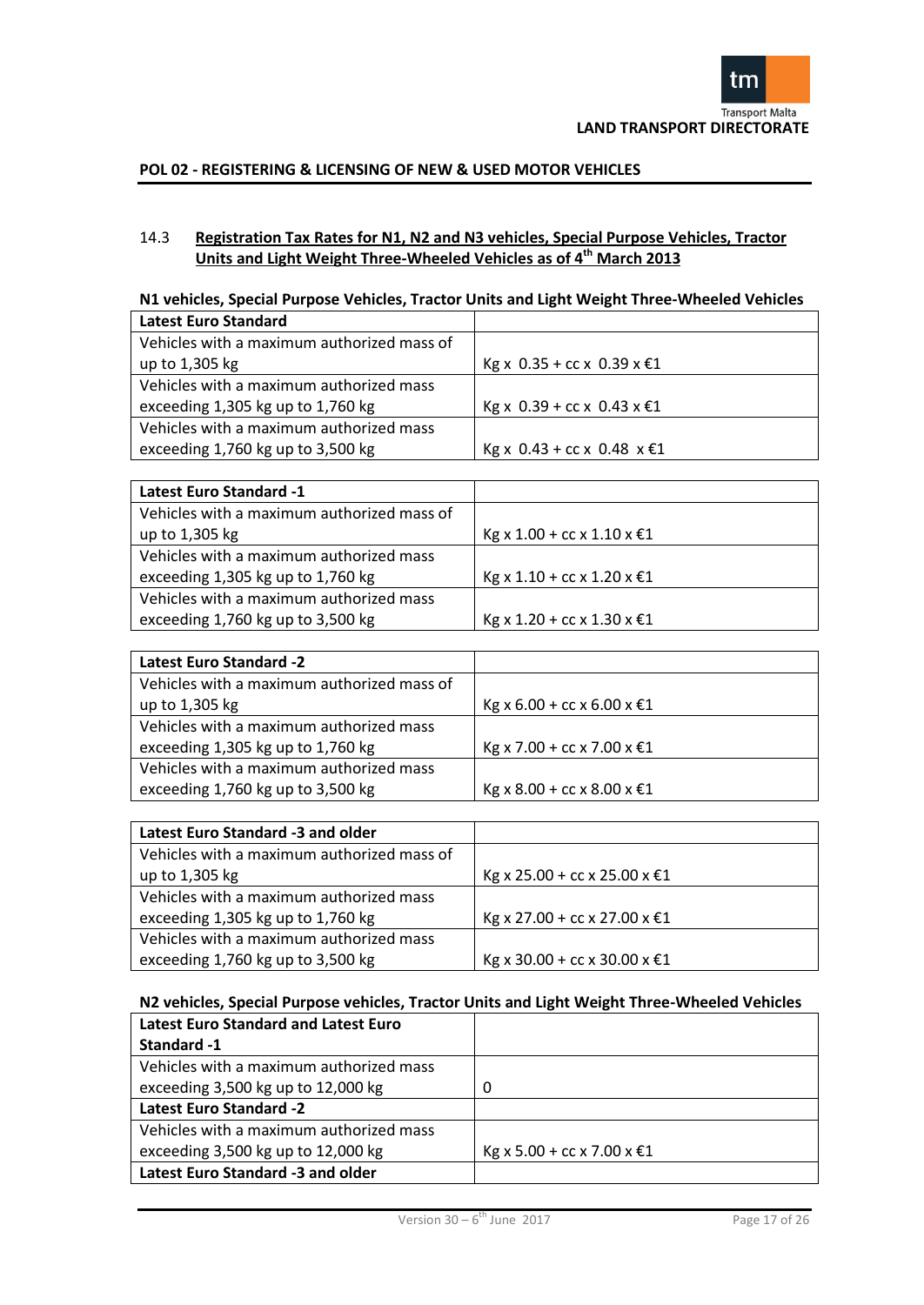

# 14.3 **Registration Tax Rates for N1, N2 and N3 vehicles, Special Purpose Vehicles, Tractor Units and Light Weight Three-Wheeled Vehicles as of 4th March 2013**

# **N1 vehicles, Special Purpose Vehicles, Tractor Units and Light Weight Three-Wheeled Vehicles**

| <b>Latest Euro Standard</b>                |                                 |
|--------------------------------------------|---------------------------------|
| Vehicles with a maximum authorized mass of |                                 |
| up to 1,305 kg                             | Kg x 0.35 + cc x 0.39 x €1      |
| Vehicles with a maximum authorized mass    |                                 |
| exceeding 1,305 kg up to 1,760 kg          | Kg x 0.39 + cc x 0.43 x €1      |
| Vehicles with a maximum authorized mass    |                                 |
| exceeding 1,760 kg up to 3,500 kg          | Kg x 0.43 + cc x 0.48 $x \in 1$ |

| <b>Latest Euro Standard -1</b>             |                                |
|--------------------------------------------|--------------------------------|
| Vehicles with a maximum authorized mass of |                                |
| up to 1,305 kg                             | Kg x $1.00$ + cc x $1.10$ x €1 |
| Vehicles with a maximum authorized mass    |                                |
| exceeding 1,305 kg up to 1,760 kg          | Kg x 1.10 + cc x 1.20 x €1     |
| Vehicles with a maximum authorized mass    |                                |
| exceeding 1,760 kg up to 3,500 kg          | Kg x 1.20 + cc x 1.30 x €1     |

| <b>Latest Euro Standard -2</b>             |                            |
|--------------------------------------------|----------------------------|
| Vehicles with a maximum authorized mass of |                            |
| up to 1,305 kg                             | Kg x 6.00 + cc x 6.00 x €1 |
| Vehicles with a maximum authorized mass    |                            |
| exceeding 1,305 kg up to 1,760 kg          | Kg x 7.00 + cc x 7.00 x €1 |
| Vehicles with a maximum authorized mass    |                            |
| exceeding 1,760 kg up to 3,500 kg          | Kg x 8.00 + cc x 8.00 x €1 |

| Latest Euro Standard -3 and older          |                              |
|--------------------------------------------|------------------------------|
| Vehicles with a maximum authorized mass of |                              |
| up to 1,305 kg                             | Kg x 25.00 + cc x 25.00 x €1 |
| Vehicles with a maximum authorized mass    |                              |
| exceeding 1,305 kg up to 1,760 kg          | Kg x 27.00 + cc x 27.00 x €1 |
| Vehicles with a maximum authorized mass    |                              |
| exceeding 1,760 kg up to 3,500 kg          | Kg x 30.00 + cc x 30.00 x €1 |

# **N2 vehicles, Special Purpose vehicles, Tractor Units and Light Weight Three-Wheeled Vehicles**

| <b>Latest Euro Standard and Latest Euro</b> |                            |
|---------------------------------------------|----------------------------|
| Standard -1                                 |                            |
| Vehicles with a maximum authorized mass     |                            |
| exceeding 3,500 kg up to 12,000 kg          | 0                          |
| <b>Latest Euro Standard -2</b>              |                            |
| Vehicles with a maximum authorized mass     |                            |
| exceeding 3,500 kg up to 12,000 kg          | Kg x 5.00 + cc x 7.00 x €1 |
| Latest Euro Standard -3 and older           |                            |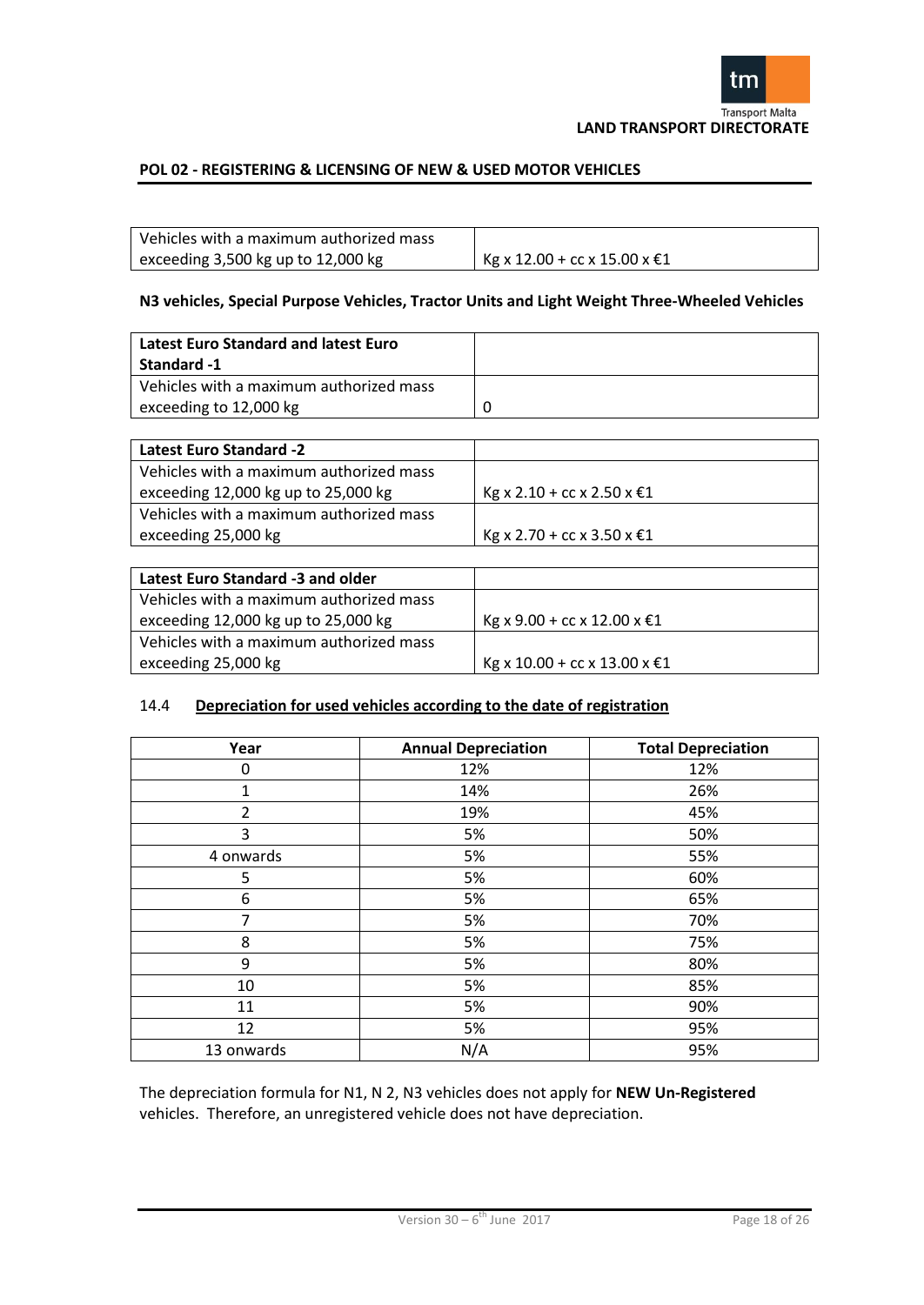

| Vehicles with a maximum authorized mass |                              |
|-----------------------------------------|------------------------------|
| exceeding $3,500$ kg up to $12,000$ kg  | Kg x 12.00 + cc x 15.00 x €1 |

# **N3 vehicles, Special Purpose Vehicles, Tractor Units and Light Weight Three-Wheeled Vehicles**

| Latest Euro Standard and latest Euro    |  |
|-----------------------------------------|--|
| Standard -1                             |  |
| Vehicles with a maximum authorized mass |  |
| exceeding to 12,000 kg                  |  |

| <b>Latest Euro Standard -2</b>          |                             |
|-----------------------------------------|-----------------------------|
| Vehicles with a maximum authorized mass |                             |
| exceeding 12,000 kg up to 25,000 kg     | Kg x 2.10 + cc x 2.50 x €1  |
| Vehicles with a maximum authorized mass |                             |
| exceeding 25,000 kg                     | Kg x 2.70 + cc x 3.50 x €1  |
|                                         |                             |
| Latest Euro Standard -3 and older       |                             |
| Vehicles with a maximum authorized mass |                             |
| exceeding 12,000 kg up to 25,000 kg     | Kg x 9.00 + cc x 12.00 x €1 |
| Vehicles with a maximum authorized mass |                             |

# 14.4 **Depreciation for used vehicles according to the date of registration**

exceeding 25,000 kg kg Kg x 10.00 + cc x 13.00 x €1

| Year           | <b>Annual Depreciation</b> | <b>Total Depreciation</b> |
|----------------|----------------------------|---------------------------|
| 0              | 12%                        | 12%                       |
| 1              | 14%                        | 26%                       |
| $\overline{2}$ | 19%                        | 45%                       |
| 3              | 5%                         | 50%                       |
| 4 onwards      | 5%                         | 55%                       |
| 5              | 5%                         | 60%                       |
| 6              | 5%                         | 65%                       |
| 7              | 5%                         | 70%                       |
| 8              | 5%                         | 75%                       |
| 9              | 5%                         | 80%                       |
| 10             | 5%                         | 85%                       |
| 11             | 5%                         | 90%                       |
| 12             | 5%                         | 95%                       |
| 13 onwards     | N/A                        | 95%                       |

The depreciation formula for N1, N 2, N3 vehicles does not apply for **NEW Un-Registered** vehicles. Therefore, an unregistered vehicle does not have depreciation.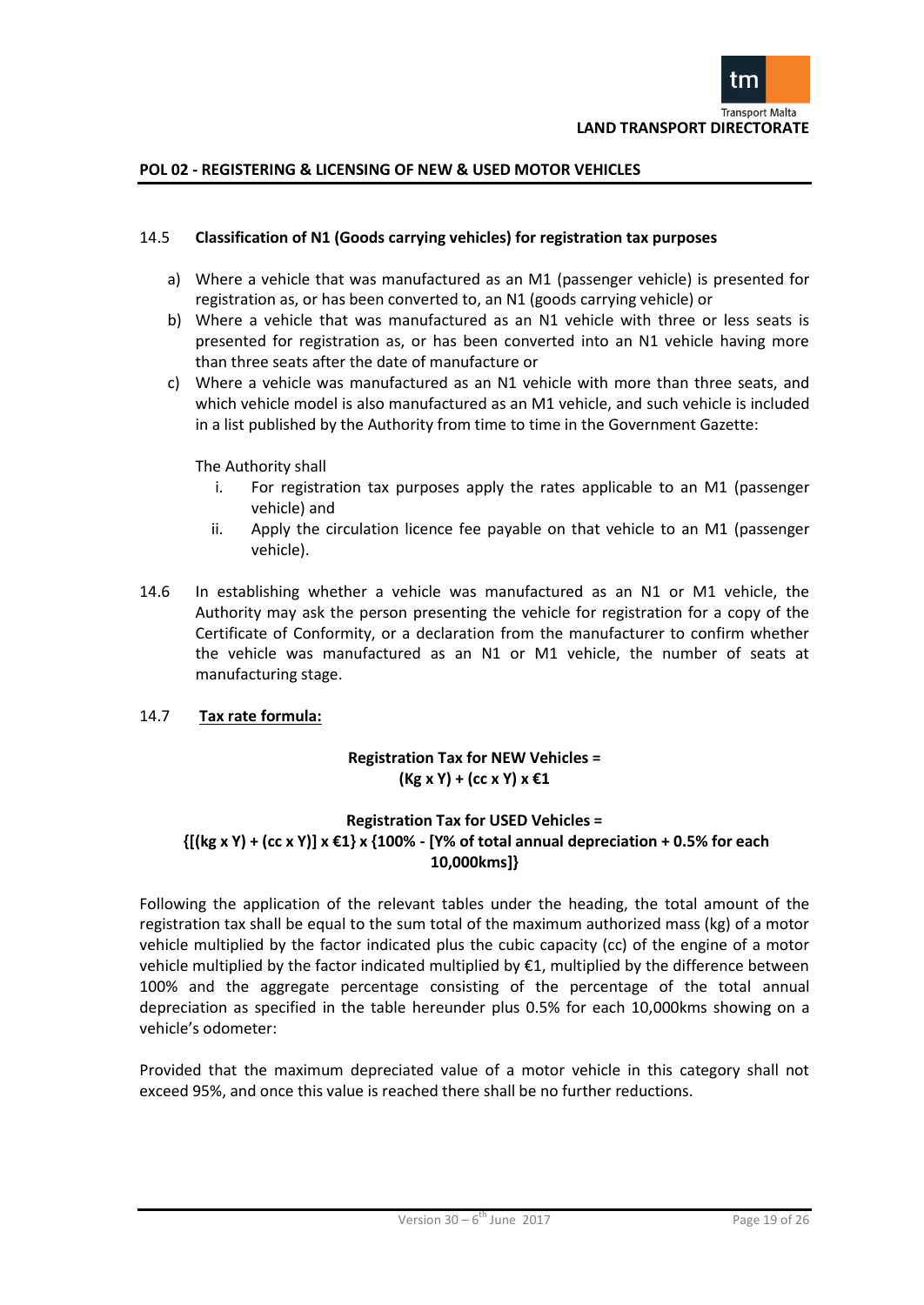

# 14.5 **Classification of N1 (Goods carrying vehicles) for registration tax purposes**

- a) Where a vehicle that was manufactured as an M1 (passenger vehicle) is presented for registration as, or has been converted to, an N1 (goods carrying vehicle) or
- b) Where a vehicle that was manufactured as an N1 vehicle with three or less seats is presented for registration as, or has been converted into an N1 vehicle having more than three seats after the date of manufacture or
- c) Where a vehicle was manufactured as an N1 vehicle with more than three seats, and which vehicle model is also manufactured as an M1 vehicle, and such vehicle is included in a list published by the Authority from time to time in the Government Gazette:

#### The Authority shall

- i. For registration tax purposes apply the rates applicable to an M1 (passenger vehicle) and
- ii. Apply the circulation licence fee payable on that vehicle to an M1 (passenger vehicle).
- 14.6 In establishing whether a vehicle was manufactured as an N1 or M1 vehicle, the Authority may ask the person presenting the vehicle for registration for a copy of the Certificate of Conformity, or a declaration from the manufacturer to confirm whether the vehicle was manufactured as an N1 or M1 vehicle, the number of seats at manufacturing stage.

# 14.7 **Tax rate formula:**

# **Registration Tax for NEW Vehicles = (Kg x Y) + (cc x Y) x €1**

# **Registration Tax for USED Vehicles = {[(kg x Y) + (cc x Y)] x €1} x {100% - [Y% of total annual depreciation + 0.5% for each 10,000kms]}**

Following the application of the relevant tables under the heading, the total amount of the registration tax shall be equal to the sum total of the maximum authorized mass (kg) of a motor vehicle multiplied by the factor indicated plus the cubic capacity (cc) of the engine of a motor vehicle multiplied by the factor indicated multiplied by €1, multiplied by the difference between 100% and the aggregate percentage consisting of the percentage of the total annual depreciation as specified in the table hereunder plus 0.5% for each 10,000kms showing on a vehicle's odometer:

Provided that the maximum depreciated value of a motor vehicle in this category shall not exceed 95%, and once this value is reached there shall be no further reductions.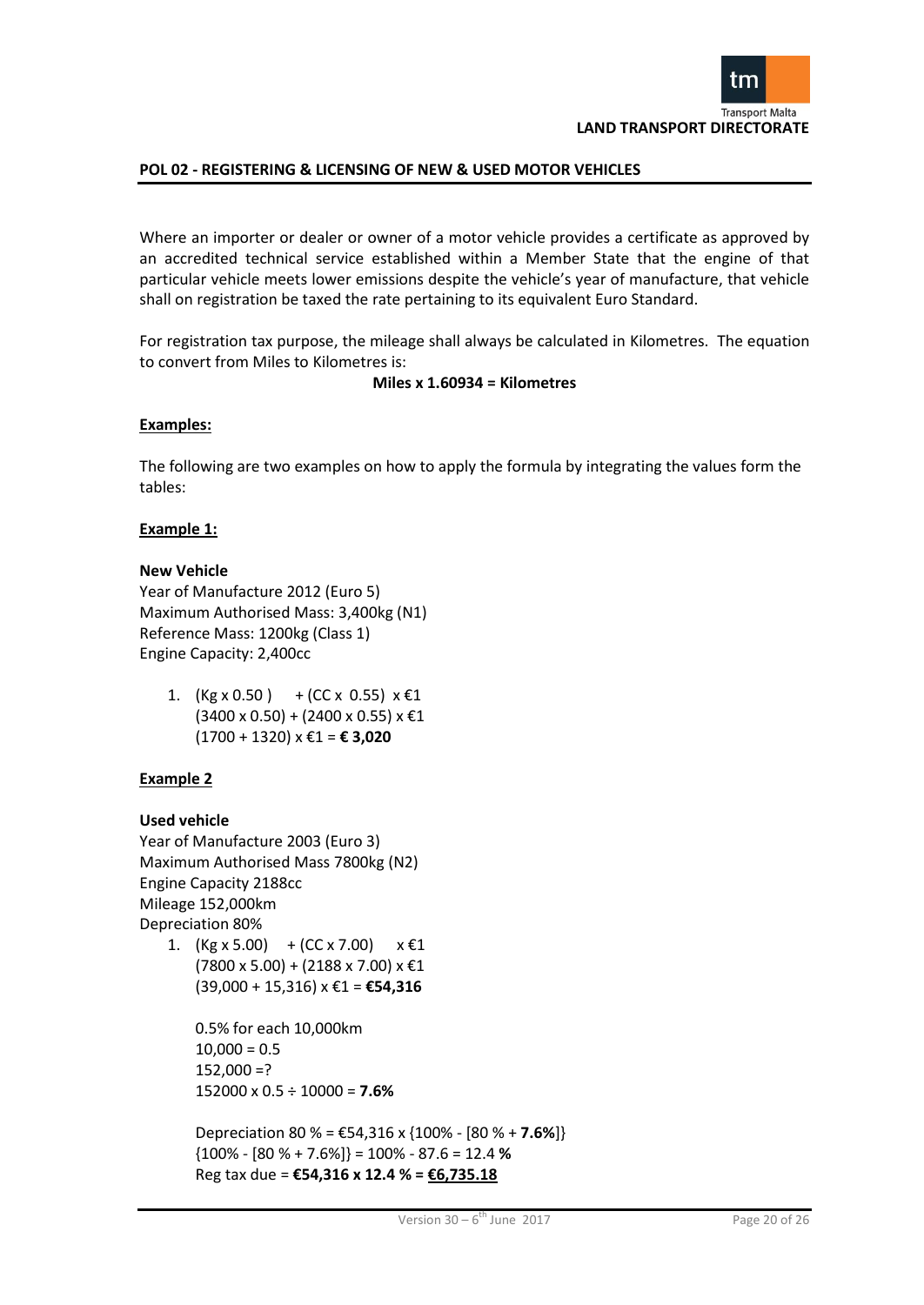

Where an importer or dealer or owner of a motor vehicle provides a certificate as approved by an accredited technical service established within a Member State that the engine of that particular vehicle meets lower emissions despite the vehicle's year of manufacture, that vehicle shall on registration be taxed the rate pertaining to its equivalent Euro Standard.

For registration tax purpose, the mileage shall always be calculated in Kilometres. The equation to convert from Miles to Kilometres is:

# **Miles x 1.60934 = Kilometres**

#### **Examples:**

The following are two examples on how to apply the formula by integrating the values form the tables:

#### **Example 1:**

#### **New Vehicle**

Year of Manufacture 2012 (Euro 5) Maximum Authorised Mass: 3,400kg (N1) Reference Mass: 1200kg (Class 1) Engine Capacity: 2,400cc

1. (Kg x 0.50) + (CC x 0.55)  $x \in 1$  $(3400 \times 0.50) + (2400 \times 0.55) \times \text{\textsterling}1$ (1700 + 1320) x €1 = **€ 3,020**

# **Example 2**

#### **Used vehicle**

Year of Manufacture 2003 (Euro 3) Maximum Authorised Mass 7800kg (N2) Engine Capacity 2188cc Mileage 152,000km Depreciation 80%

1.  $(Kg \times 5.00)$  +  $(CC \times 7.00)$   $\times \text{\textsterling}1$  $(7800 \times 5.00) + (2188 \times 7.00) \times \text{\textsterling}1$ (39,000 + 15,316) x €1 = **€54,316**

```
0.5% for each 10,000km
10,000 = 0.5152,000 = ?152000 x 0.5 ÷ 10000 = 7.6%
```
Depreciation 80 % = €54,316 x {100% - [80 % + **7.6%**]} {100% - [80 % + 7.6%]} = 100% - 87.6 = 12.4 **%** Reg tax due = **€54,316 x 12.4 % = €6,735.18**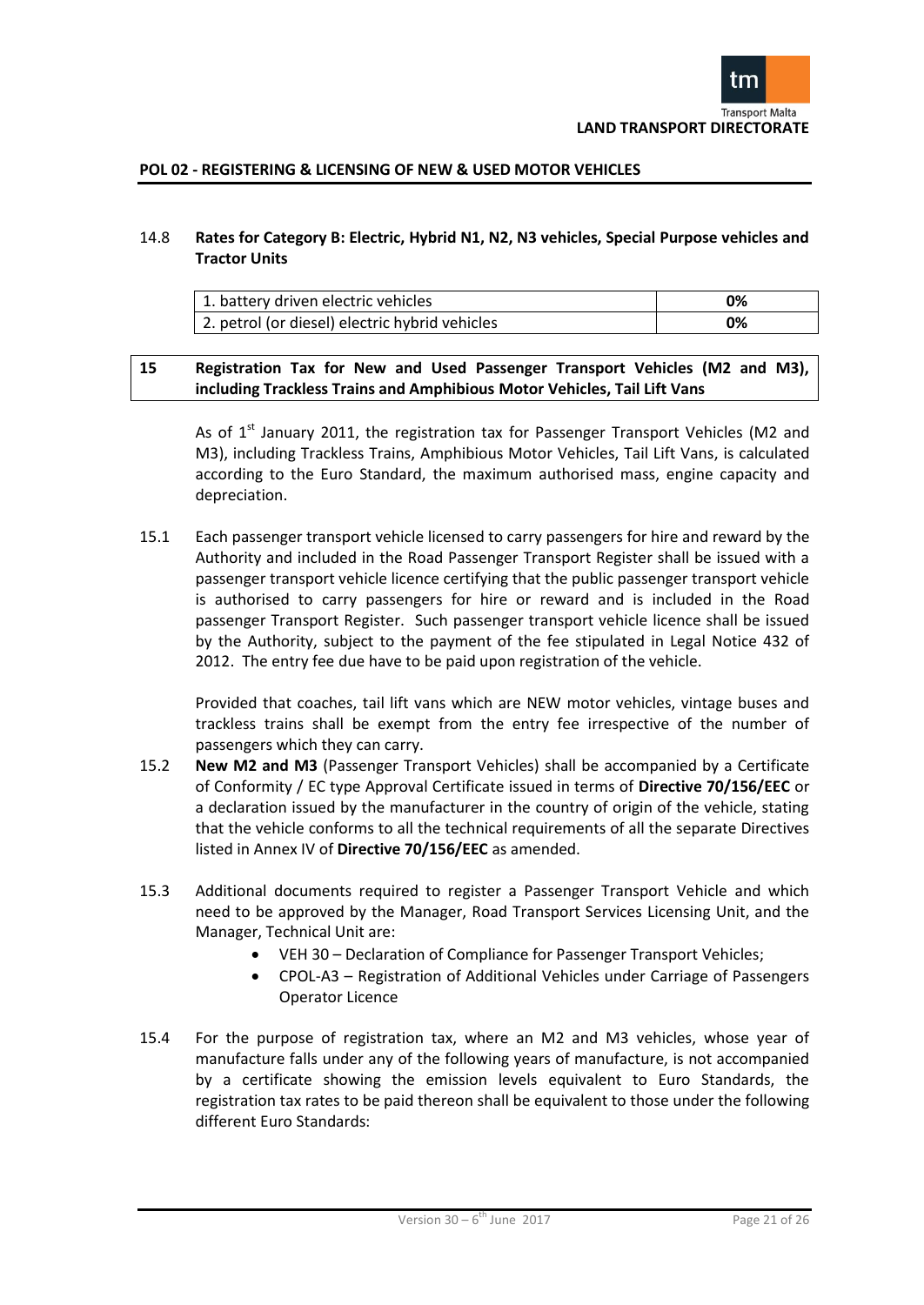

# 14.8 **Rates for Category B: Electric, Hybrid N1, N2, N3 vehicles, Special Purpose vehicles and Tractor Units**

| <sup>1</sup> 1. battery driven electric vehicles | 0% |
|--------------------------------------------------|----|
| 2. petrol (or diesel) electric hybrid vehicles   | 0% |

# **15 Registration Tax for New and Used Passenger Transport Vehicles (M2 and M3), including Trackless Trains and Amphibious Motor Vehicles, Tail Lift Vans**

As of  $1<sup>st</sup>$  January 2011, the registration tax for Passenger Transport Vehicles (M2 and M3), including Trackless Trains, Amphibious Motor Vehicles, Tail Lift Vans, is calculated according to the Euro Standard, the maximum authorised mass, engine capacity and depreciation.

15.1 Each passenger transport vehicle licensed to carry passengers for hire and reward by the Authority and included in the Road Passenger Transport Register shall be issued with a passenger transport vehicle licence certifying that the public passenger transport vehicle is authorised to carry passengers for hire or reward and is included in the Road passenger Transport Register. Such passenger transport vehicle licence shall be issued by the Authority, subject to the payment of the fee stipulated in Legal Notice 432 of 2012. The entry fee due have to be paid upon registration of the vehicle.

Provided that coaches, tail lift vans which are NEW motor vehicles, vintage buses and trackless trains shall be exempt from the entry fee irrespective of the number of passengers which they can carry.

- 15.2 **New M2 and M3** (Passenger Transport Vehicles) shall be accompanied by a Certificate of Conformity / EC type Approval Certificate issued in terms of **Directive 70/156/EEC** or a declaration issued by the manufacturer in the country of origin of the vehicle, stating that the vehicle conforms to all the technical requirements of all the separate Directives listed in Annex IV of **Directive 70/156/EEC** as amended.
- 15.3 Additional documents required to register a Passenger Transport Vehicle and which need to be approved by the Manager, Road Transport Services Licensing Unit, and the Manager, Technical Unit are:
	- VEH 30 Declaration of Compliance for Passenger Transport Vehicles;
	- CPOL-A3 Registration of Additional Vehicles under Carriage of Passengers Operator Licence
- 15.4 For the purpose of registration tax, where an M2 and M3 vehicles, whose year of manufacture falls under any of the following years of manufacture, is not accompanied by a certificate showing the emission levels equivalent to Euro Standards, the registration tax rates to be paid thereon shall be equivalent to those under the following different Euro Standards: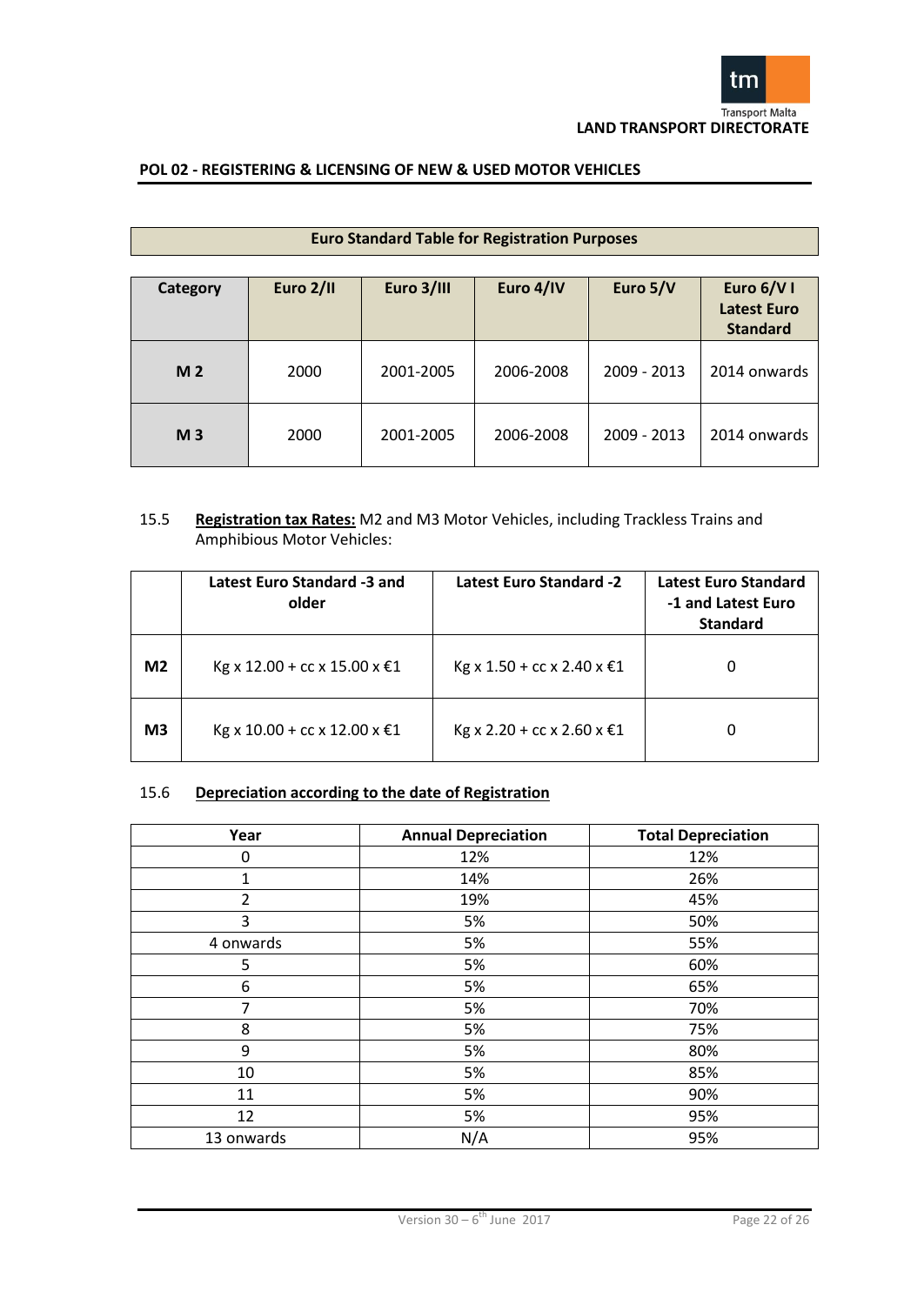

| <b>Euro Standard Table for Registration Purposes</b> |           |            |           |             |                                              |
|------------------------------------------------------|-----------|------------|-----------|-------------|----------------------------------------------|
| Category                                             | Euro 2/II | Euro 3/III | Euro 4/IV | Euro 5/V    | Euro 6/V I<br>Latest Euro<br><b>Standard</b> |
| M <sub>2</sub>                                       | 2000      | 2001-2005  | 2006-2008 | 2009 - 2013 | 2014 onwards                                 |
| M <sub>3</sub>                                       | 2000      | 2001-2005  | 2006-2008 | 2009 - 2013 | 2014 onwards                                 |

# 15.5 **Registration tax Rates:** M2 and M3 Motor Vehicles, including Trackless Trains and Amphibious Motor Vehicles:

|                | Latest Euro Standard -3 and<br>older | <b>Latest Euro Standard -2</b> | <b>Latest Euro Standard</b><br>-1 and Latest Euro<br><b>Standard</b> |
|----------------|--------------------------------------|--------------------------------|----------------------------------------------------------------------|
| M <sub>2</sub> | Kg x 12.00 + cc x 15.00 x €1         | Kg x 1.50 + cc x 2.40 x €1     |                                                                      |
| M <sub>3</sub> | Kg x 10.00 + cc x 12.00 x €1         | Kg x 2.20 + cc x 2.60 x €1     |                                                                      |

# 15.6 **Depreciation according to the date of Registration**

| Year           | <b>Annual Depreciation</b> | <b>Total Depreciation</b> |
|----------------|----------------------------|---------------------------|
| 0              | 12%                        | 12%                       |
| $\mathbf{1}$   | 14%                        | 26%                       |
| $\overline{2}$ | 19%                        | 45%                       |
| 3              | 5%                         | 50%                       |
| 4 onwards      | 5%                         | 55%                       |
| 5              | 5%                         | 60%                       |
| 6              | 5%                         | 65%                       |
| 7              | 5%                         | 70%                       |
| 8              | 5%                         | 75%                       |
| 9              | 5%                         | 80%                       |
| 10             | 5%                         | 85%                       |
| 11             | 5%                         | 90%                       |
| 12             | 5%                         | 95%                       |
| 13 onwards     | N/A                        | 95%                       |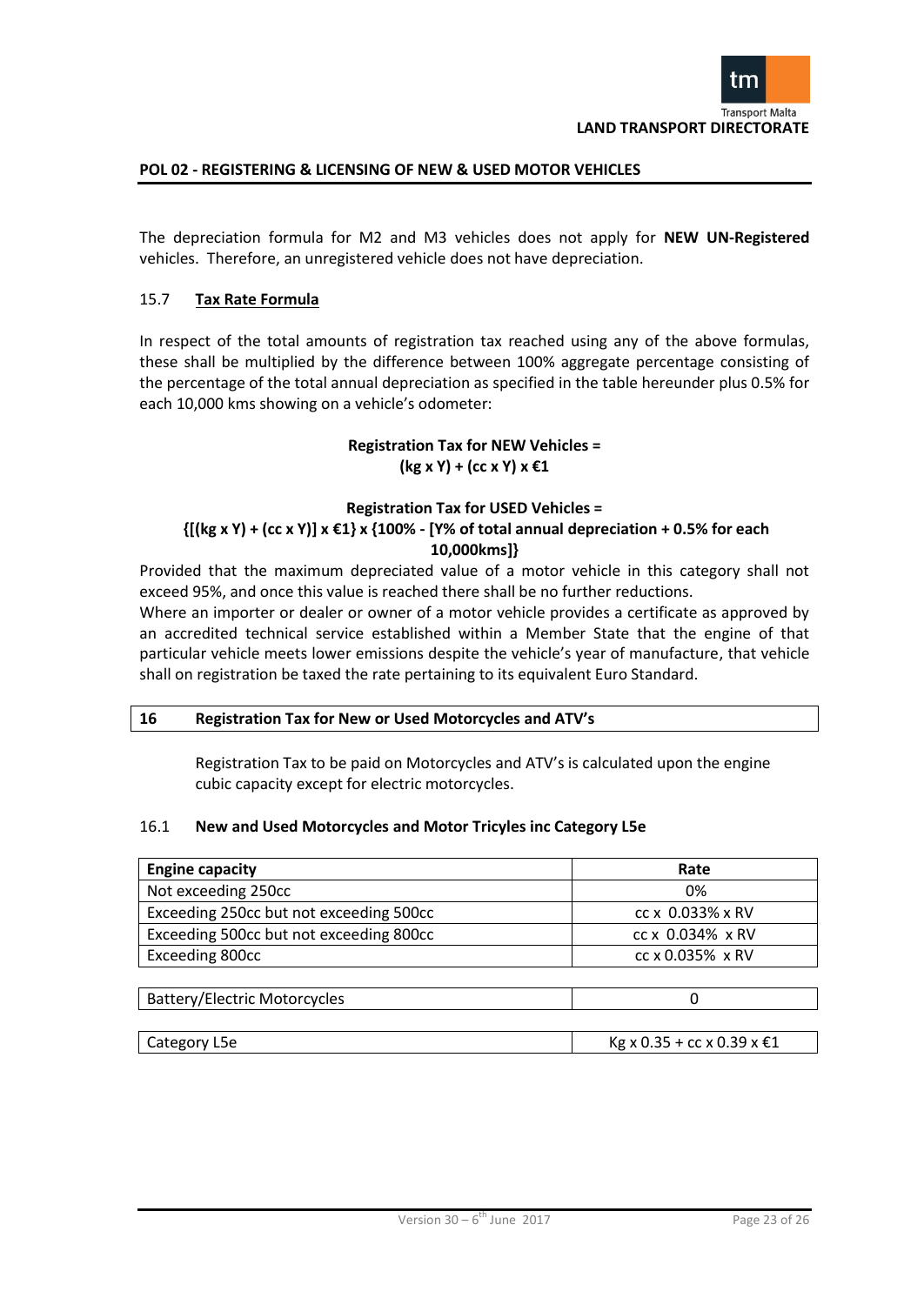

The depreciation formula for M2 and M3 vehicles does not apply for **NEW UN-Registered**  vehicles. Therefore, an unregistered vehicle does not have depreciation.

# 15.7 **Tax Rate Formula**

In respect of the total amounts of registration tax reached using any of the above formulas, these shall be multiplied by the difference between 100% aggregate percentage consisting of the percentage of the total annual depreciation as specified in the table hereunder plus 0.5% for each 10,000 kms showing on a vehicle's odometer:

# **Registration Tax for NEW Vehicles = (kg x Y) + (cc x Y) x €1**

# **Registration Tax for USED Vehicles = {[(kg x Y) + (cc x Y)] x €1} x {100% - [Y% of total annual depreciation + 0.5% for each 10,000kms]}**

Provided that the maximum depreciated value of a motor vehicle in this category shall not exceed 95%, and once this value is reached there shall be no further reductions.

Where an importer or dealer or owner of a motor vehicle provides a certificate as approved by an accredited technical service established within a Member State that the engine of that particular vehicle meets lower emissions despite the vehicle's year of manufacture, that vehicle shall on registration be taxed the rate pertaining to its equivalent Euro Standard.

# **16 Registration Tax for New or Used Motorcycles and ATV's**

Registration Tax to be paid on Motorcycles and ATV's is calculated upon the engine cubic capacity except for electric motorcycles.

# 16.1 **New and Used Motorcycles and Motor Tricyles inc Category L5e**

| <b>Engine capacity</b>                  | Rate             |  |
|-----------------------------------------|------------------|--|
| Not exceeding 250cc                     | 0%               |  |
| Exceeding 250cc but not exceeding 500cc | cc x 0.033% x RV |  |
| Exceeding 500cc but not exceeding 800cc | cc x 0.034% x RV |  |
| Exceeding 800cc                         | cc x 0.035% x RV |  |
|                                         |                  |  |
| <b>Battery/Electric Motorcycles</b>     |                  |  |
|                                         |                  |  |

| Category L5e | Kg x 0.35 + cc x 0.39 x €1 |
|--------------|----------------------------|
|--------------|----------------------------|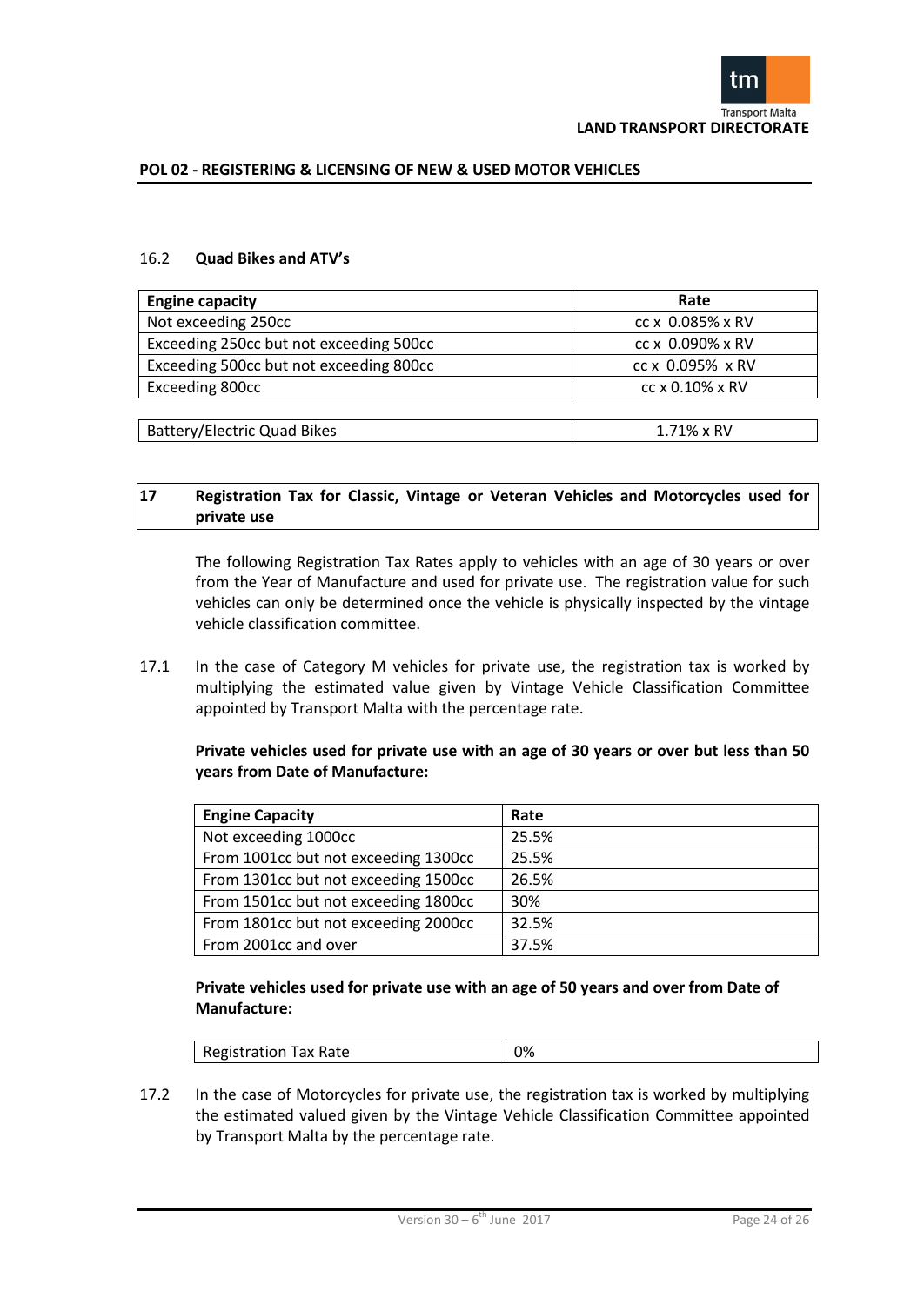

#### 16.2 **Quad Bikes and ATV's**

| <b>Engine capacity</b>                  | Rate               |
|-----------------------------------------|--------------------|
| Not exceeding 250cc                     | cc x 0.085% x RV   |
| Exceeding 250cc but not exceeding 500cc | cc x 0.090% x RV   |
| Exceeding 500cc but not exceeding 800cc | cc x 0.095% x RV   |
| Exceeding 800cc                         | cc x 0.10% x RV    |
|                                         |                    |
| Battery/Electric Quad Bikes             | $1.71\% \times RV$ |

# **17 Registration Tax for Classic, Vintage or Veteran Vehicles and Motorcycles used for private use**

The following Registration Tax Rates apply to vehicles with an age of 30 years or over from the Year of Manufacture and used for private use. The registration value for such vehicles can only be determined once the vehicle is physically inspected by the vintage vehicle classification committee.

17.1 In the case of Category M vehicles for private use, the registration tax is worked by multiplying the estimated value given by Vintage Vehicle Classification Committee appointed by Transport Malta with the percentage rate.

# **Private vehicles used for private use with an age of 30 years or over but less than 50 years from Date of Manufacture:**

| <b>Engine Capacity</b>               | Rate  |
|--------------------------------------|-------|
| Not exceeding 1000cc                 | 25.5% |
| From 1001cc but not exceeding 1300cc | 25.5% |
| From 1301cc but not exceeding 1500cc | 26.5% |
| From 1501cc but not exceeding 1800cc | 30%   |
| From 1801cc but not exceeding 2000cc | 32.5% |
| From 2001cc and over                 | 37.5% |

# **Private vehicles used for private use with an age of 50 years and over from Date of Manufacture:**

|  | <sup>-</sup> ax Rate<br>Registration<br>i dx Ndle | ገ% |
|--|---------------------------------------------------|----|
|--|---------------------------------------------------|----|

17.2 In the case of Motorcycles for private use, the registration tax is worked by multiplying the estimated valued given by the Vintage Vehicle Classification Committee appointed by Transport Malta by the percentage rate.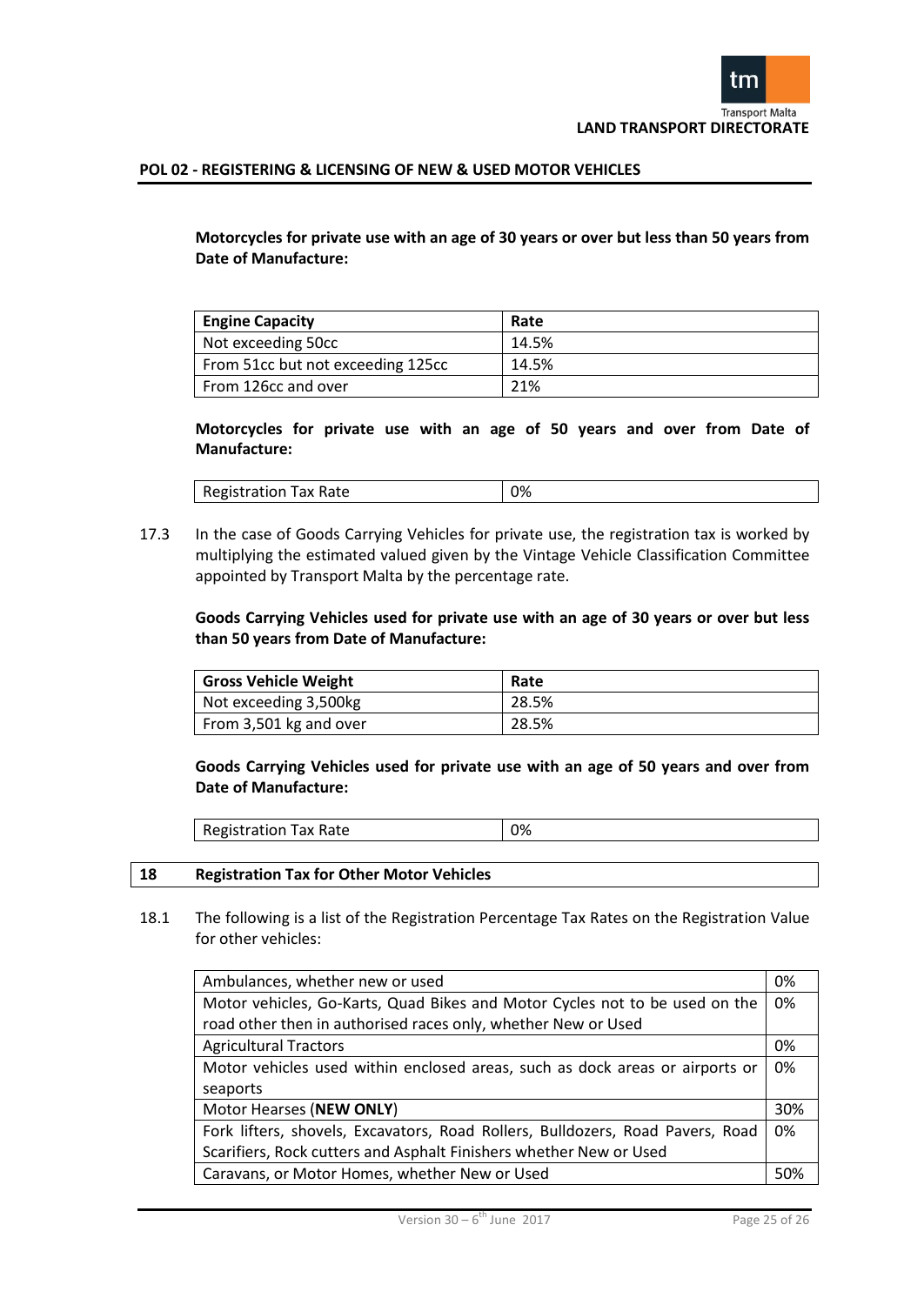**Motorcycles for private use with an age of 30 years or over but less than 50 years from Date of Manufacture:** 

| <b>Engine Capacity</b>            | Rate  |
|-----------------------------------|-------|
| Not exceeding 50cc                | 14.5% |
| From 51cc but not exceeding 125cc | 14.5% |
| From 126cc and over               | 21%   |

**Motorcycles for private use with an age of 50 years and over from Date of Manufacture:**

| Registration<br>Tax Rate | 0% |
|--------------------------|----|
|                          |    |

17.3 In the case of Goods Carrying Vehicles for private use, the registration tax is worked by multiplying the estimated valued given by the Vintage Vehicle Classification Committee appointed by Transport Malta by the percentage rate.

# **Goods Carrying Vehicles used for private use with an age of 30 years or over but less than 50 years from Date of Manufacture:**

| <b>Gross Vehicle Weight</b> | Rate  |
|-----------------------------|-------|
| Not exceeding 3,500kg       | 28.5% |
| From 3,501 kg and over      | 28.5% |

**Goods Carrying Vehicles used for private use with an age of 50 years and over from Date of Manufacture:**

| Tax Rate<br>Registration | 0% |
|--------------------------|----|
|--------------------------|----|

# **18 Registration Tax for Other Motor Vehicles**

18.1 The following is a list of the Registration Percentage Tax Rates on the Registration Value for other vehicles:

| Ambulances, whether new or used                                                | 0%  |
|--------------------------------------------------------------------------------|-----|
| Motor vehicles, Go-Karts, Quad Bikes and Motor Cycles not to be used on the    | 0%  |
| road other then in authorised races only, whether New or Used                  |     |
| <b>Agricultural Tractors</b>                                                   | 0%  |
| Motor vehicles used within enclosed areas, such as dock areas or airports or   | 0%  |
| seaports                                                                       |     |
| Motor Hearses (NEW ONLY)                                                       | 30% |
| Fork lifters, shovels, Excavators, Road Rollers, Bulldozers, Road Pavers, Road | 0%  |
| Scarifiers, Rock cutters and Asphalt Finishers whether New or Used             |     |
| Caravans, or Motor Homes, whether New or Used                                  | 50% |